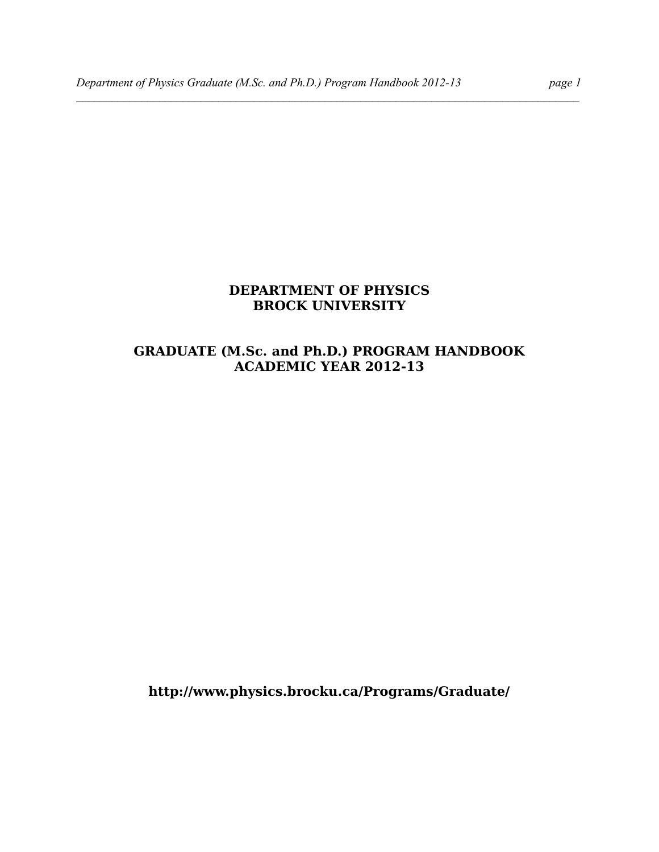#### **DEPARTMENT OF PHYSICS BROCK UNIVERSITY**

 $\mathcal{L} = \{ \mathcal{L} \mathcal{L} \mathcal{L} \mathcal{L} \mathcal{L} \mathcal{L} \mathcal{L} \mathcal{L} \mathcal{L} \mathcal{L} \mathcal{L} \mathcal{L} \mathcal{L} \mathcal{L} \mathcal{L} \mathcal{L} \mathcal{L} \mathcal{L} \mathcal{L} \mathcal{L} \mathcal{L} \mathcal{L} \mathcal{L} \mathcal{L} \mathcal{L} \mathcal{L} \mathcal{L} \mathcal{L} \mathcal{L} \mathcal{L} \mathcal{L} \mathcal{L} \mathcal{L} \mathcal{L} \mathcal{L} \$ 

## **GRADUATE (M.Sc. and Ph.D.) PROGRAM HANDBOOK ACADEMIC YEAR 2012-13**

**http://www.physics.brocku.ca/Programs/Graduate/**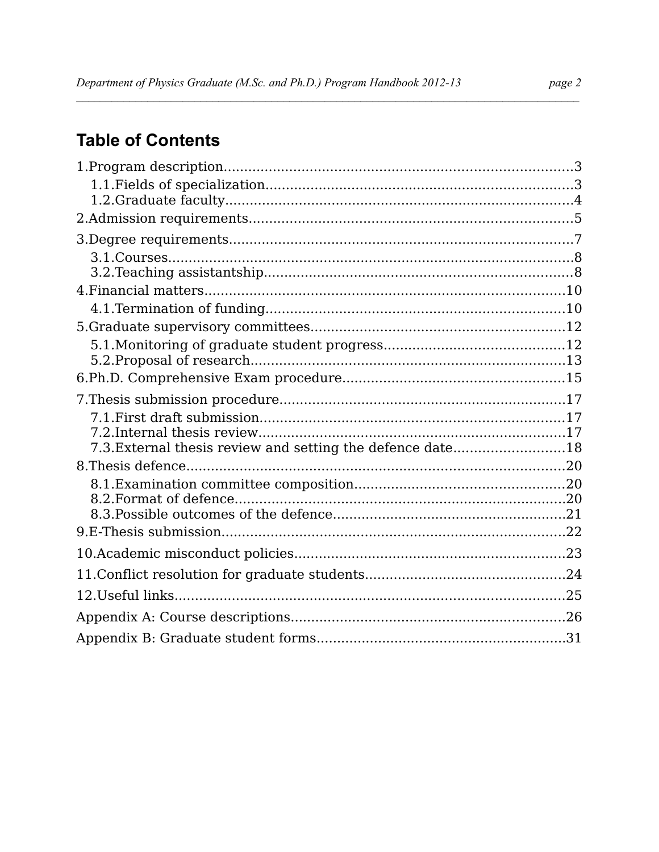# **Table of Contents**

| 7.3. External thesis review and setting the defence date18 |  |
|------------------------------------------------------------|--|
|                                                            |  |
|                                                            |  |
|                                                            |  |
|                                                            |  |
|                                                            |  |
|                                                            |  |
|                                                            |  |
| 12. Useful links                                           |  |
|                                                            |  |
|                                                            |  |
|                                                            |  |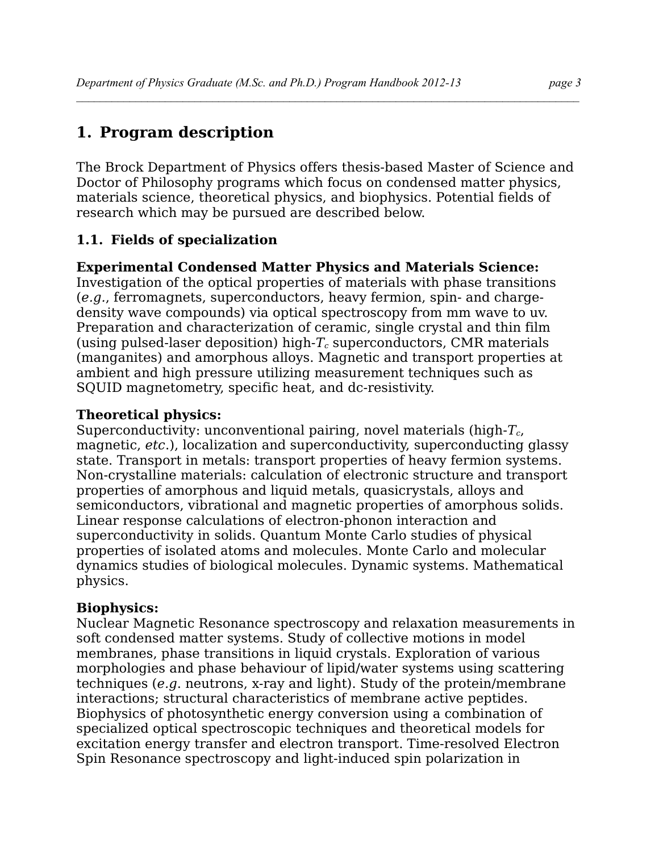# **1. Program description**

The Brock Department of Physics offers thesis-based Master of Science and Doctor of Philosophy programs which focus on condensed matter physics, materials science, theoretical physics, and biophysics. Potential fields of research which may be pursued are described below.

 $\mathcal{L} = \{ \mathcal{L} \mathcal{L} \mathcal{L} \mathcal{L} \mathcal{L} \mathcal{L} \mathcal{L} \mathcal{L} \mathcal{L} \mathcal{L} \mathcal{L} \mathcal{L} \mathcal{L} \mathcal{L} \mathcal{L} \mathcal{L} \mathcal{L} \mathcal{L} \mathcal{L} \mathcal{L} \mathcal{L} \mathcal{L} \mathcal{L} \mathcal{L} \mathcal{L} \mathcal{L} \mathcal{L} \mathcal{L} \mathcal{L} \mathcal{L} \mathcal{L} \mathcal{L} \mathcal{L} \mathcal{L} \mathcal{L} \$ 

## **1.1. Fields of specialization**

## **Experimental Condensed Matter Physics and Materials Science:**

Investigation of the optical properties of materials with phase transitions (*e.g.*, ferromagnets, superconductors, heavy fermion, spin- and chargedensity wave compounds) via optical spectroscopy from mm wave to uv. Preparation and characterization of ceramic, single crystal and thin film (using pulsed-laser deposition) high-*Tc* superconductors, CMR materials (manganites) and amorphous alloys. Magnetic and transport properties at ambient and high pressure utilizing measurement techniques such as SQUID magnetometry, specific heat, and dc-resistivity.

## **Theoretical physics:**

Superconductivity: unconventional pairing, novel materials (high-*Tc*, magnetic, *etc*.), localization and superconductivity, superconducting glassy state. Transport in metals: transport properties of heavy fermion systems. Non-crystalline materials: calculation of electronic structure and transport properties of amorphous and liquid metals, quasicrystals, alloys and semiconductors, vibrational and magnetic properties of amorphous solids. Linear response calculations of electron-phonon interaction and superconductivity in solids. Quantum Monte Carlo studies of physical properties of isolated atoms and molecules. Monte Carlo and molecular dynamics studies of biological molecules. Dynamic systems. Mathematical physics.

## **Biophysics:**

Nuclear Magnetic Resonance spectroscopy and relaxation measurements in soft condensed matter systems. Study of collective motions in model membranes, phase transitions in liquid crystals. Exploration of various morphologies and phase behaviour of lipid/water systems using scattering techniques (*e.g*. neutrons, x-ray and light). Study of the protein/membrane interactions; structural characteristics of membrane active peptides. Biophysics of photosynthetic energy conversion using a combination of specialized optical spectroscopic techniques and theoretical models for excitation energy transfer and electron transport. Time-resolved Electron Spin Resonance spectroscopy and light-induced spin polarization in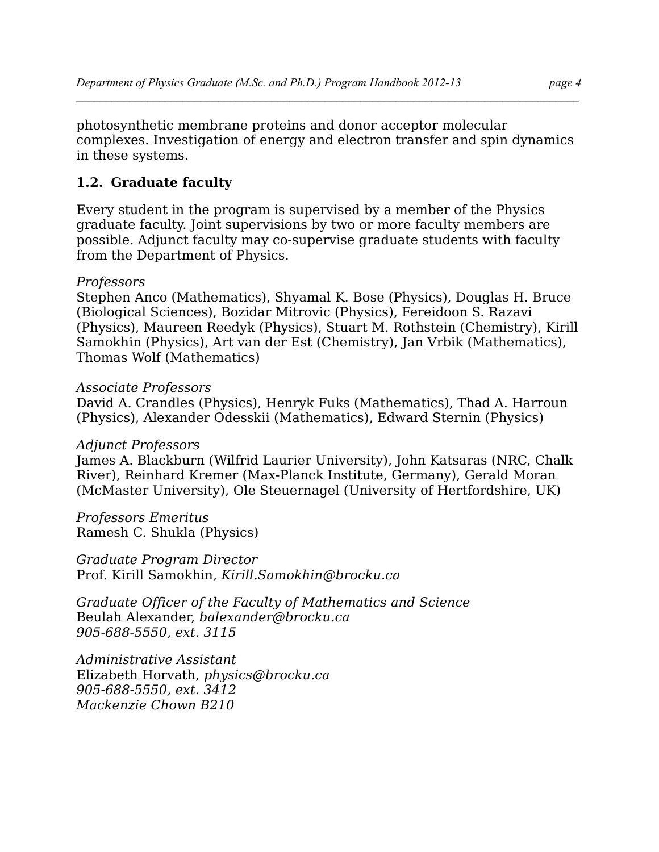photosynthetic membrane proteins and donor acceptor molecular complexes. Investigation of energy and electron transfer and spin dynamics in these systems.

## **1.2. Graduate faculty**

Every student in the program is supervised by a member of the Physics graduate faculty. Joint supervisions by two or more faculty members are possible. Adjunct faculty may co-supervise graduate students with faculty from the Department of Physics.

#### *Professors*

Stephen Anco (Mathematics), Shyamal K. Bose (Physics), Douglas H. Bruce (Biological Sciences), Bozidar Mitrovic (Physics), Fereidoon S. Razavi (Physics), Maureen Reedyk (Physics), Stuart M. Rothstein (Chemistry), Kirill Samokhin (Physics), Art van der Est (Chemistry), Jan Vrbik (Mathematics), Thomas Wolf (Mathematics)

#### *Associate Professors*

David A. Crandles (Physics), Henryk Fuks (Mathematics), Thad A. Harroun (Physics), Alexander Odesskii (Mathematics), Edward Sternin (Physics)

#### *Adjunct Professors*

James A. Blackburn (Wilfrid Laurier University), John Katsaras (NRC, Chalk River), Reinhard Kremer (Max-Planck Institute, Germany), Gerald Moran (McMaster University), Ole Steuernagel (University of Hertfordshire, UK)

*Professors Emeritus* Ramesh C. Shukla (Physics)

*Graduate Program Director* Prof. Kirill Samokhin, *Kirill.Samokhin@brocku.ca*

*Graduate Officer of the Faculty of Mathematics and Science* Beulah Alexander, *[balexander@brocku.ca](mailto:balexander@brocku.ca) 905-688-5550, ext. 3115*

*Administrative Assistant* Elizabeth Horvath, *physics@brocku.ca 905-688-5550, ext. 3412 Mackenzie Chown B210*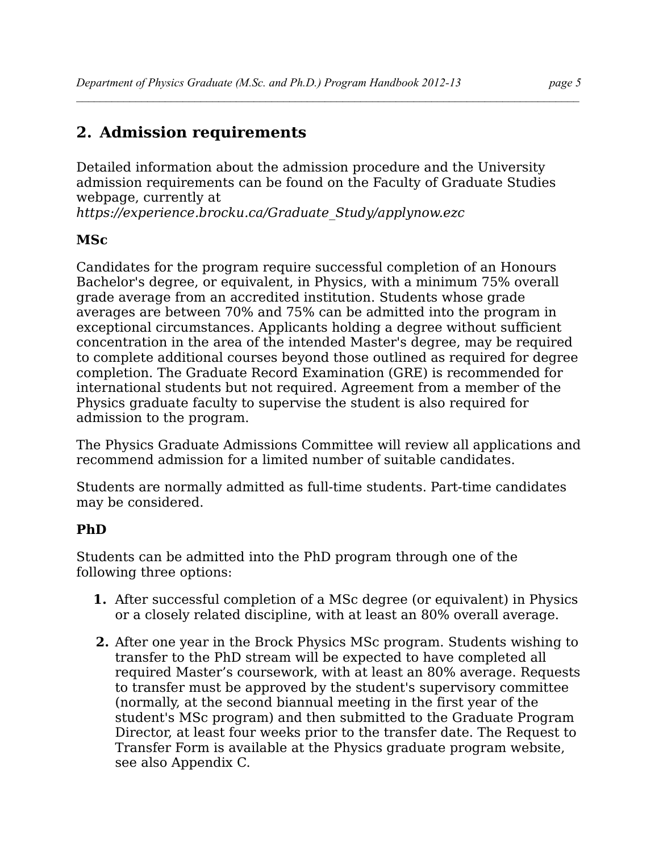# **2. Admission requirements**

Detailed information about the admission procedure and the University admission requirements can be found on the Faculty of Graduate Studies webpage, currently at

 $\mathcal{L} = \{ \mathcal{L} \mathcal{L} \mathcal{L} \mathcal{L} \mathcal{L} \mathcal{L} \mathcal{L} \mathcal{L} \mathcal{L} \mathcal{L} \mathcal{L} \mathcal{L} \mathcal{L} \mathcal{L} \mathcal{L} \mathcal{L} \mathcal{L} \mathcal{L} \mathcal{L} \mathcal{L} \mathcal{L} \mathcal{L} \mathcal{L} \mathcal{L} \mathcal{L} \mathcal{L} \mathcal{L} \mathcal{L} \mathcal{L} \mathcal{L} \mathcal{L} \mathcal{L} \mathcal{L} \mathcal{L} \mathcal{L} \$ 

*https://experience.brocku.ca/Graduate\_Study/applynow.ezc* 

## **MSc**

Candidates for the program require successful completion of an Honours Bachelor's degree, or equivalent, in Physics, with a minimum 75% overall grade average from an accredited institution. Students whose grade averages are between 70% and 75% can be admitted into the program in exceptional circumstances. Applicants holding a degree without sufficient concentration in the area of the intended Master's degree, may be required to complete additional courses beyond those outlined as required for degree completion. The Graduate Record Examination (GRE) is recommended for international students but not required. Agreement from a member of the Physics graduate faculty to supervise the student is also required for admission to the program.

The Physics Graduate Admissions Committee will review all applications and recommend admission for a limited number of suitable candidates.

Students are normally admitted as full-time students. Part-time candidates may be considered.

## **PhD**

Students can be admitted into the PhD program through one of the following three options:

- **1.** After successful completion of a MSc degree (or equivalent) in Physics or a closely related discipline, with at least an 80% overall average.
- **2.** After one year in the Brock Physics MSc program. Students wishing to transfer to the PhD stream will be expected to have completed all required Master's coursework, with at least an 80% average. Requests to transfer must be approved by the student's supervisory committee (normally, at the second biannual meeting in the first year of the student's MSc program) and then submitted to the Graduate Program Director, at least four weeks prior to the transfer date. The Request to Transfer Form is available at the Physics graduate program website, see also Appendix C.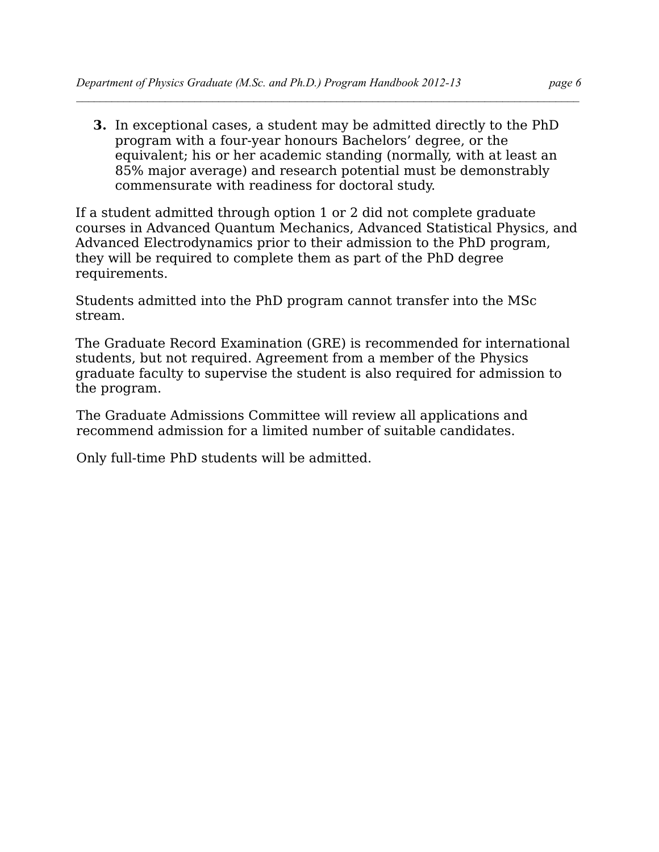**3.** In exceptional cases, a student may be admitted directly to the PhD program with a four-year honours Bachelors' degree, or the equivalent; his or her academic standing (normally, with at least an 85% major average) and research potential must be demonstrably commensurate with readiness for doctoral study.

If a student admitted through option 1 or 2 did not complete graduate courses in Advanced Quantum Mechanics, Advanced Statistical Physics, and Advanced Electrodynamics prior to their admission to the PhD program, they will be required to complete them as part of the PhD degree requirements.

Students admitted into the PhD program cannot transfer into the MSc stream.

The Graduate Record Examination (GRE) is recommended for international students, but not required. Agreement from a member of the Physics graduate faculty to supervise the student is also required for admission to the program.

The Graduate Admissions Committee will review all applications and recommend admission for a limited number of suitable candidates.

Only full-time PhD students will be admitted.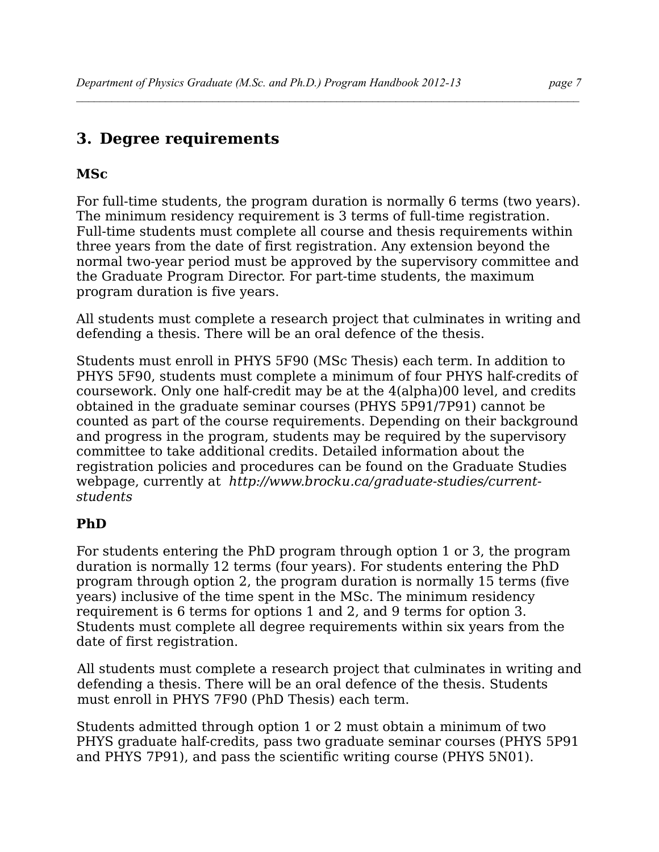## **3. Degree requirements**

## **MSc**

For full-time students, the program duration is normally 6 terms (two years). The minimum residency requirement is 3 terms of full-time registration. Full-time students must complete all course and thesis requirements within three years from the date of first registration. Any extension beyond the normal two-year period must be approved by the supervisory committee and the Graduate Program Director. For part-time students, the maximum program duration is five years.

 $\mathcal{L} = \{ \mathcal{L} \mathcal{L} \mathcal{L} \mathcal{L} \mathcal{L} \mathcal{L} \mathcal{L} \mathcal{L} \mathcal{L} \mathcal{L} \mathcal{L} \mathcal{L} \mathcal{L} \mathcal{L} \mathcal{L} \mathcal{L} \mathcal{L} \mathcal{L} \mathcal{L} \mathcal{L} \mathcal{L} \mathcal{L} \mathcal{L} \mathcal{L} \mathcal{L} \mathcal{L} \mathcal{L} \mathcal{L} \mathcal{L} \mathcal{L} \mathcal{L} \mathcal{L} \mathcal{L} \mathcal{L} \mathcal{L} \$ 

All students must complete a research project that culminates in writing and defending a thesis. There will be an oral defence of the thesis.

Students must enroll in PHYS 5F90 (MSc Thesis) each term. In addition to PHYS 5F90, students must complete a minimum of four PHYS half-credits of coursework. Only one half-credit may be at the 4(alpha)00 level, and credits obtained in the graduate seminar courses (PHYS 5P91/7P91) cannot be counted as part of the course requirements. Depending on their background and progress in the program, students may be required by the supervisory committee to take additional credits. Detailed information about the registration policies and procedures can be found on the Graduate Studies webpage, currently at *http://www.brocku.ca/graduate-studies/currentstudents*

## **PhD**

For students entering the PhD program through option 1 or 3, the program duration is normally 12 terms (four years). For students entering the PhD program through option 2, the program duration is normally 15 terms (five years) inclusive of the time spent in the MSc. The minimum residency requirement is 6 terms for options 1 and 2, and 9 terms for option 3. Students must complete all degree requirements within six years from the date of first registration.

All students must complete a research project that culminates in writing and defending a thesis. There will be an oral defence of the thesis. Students must enroll in PHYS 7F90 (PhD Thesis) each term.

Students admitted through option 1 or 2 must obtain a minimum of two PHYS graduate half-credits, pass two graduate seminar courses (PHYS 5P91 and PHYS 7P91), and pass the scientific writing course (PHYS 5N01).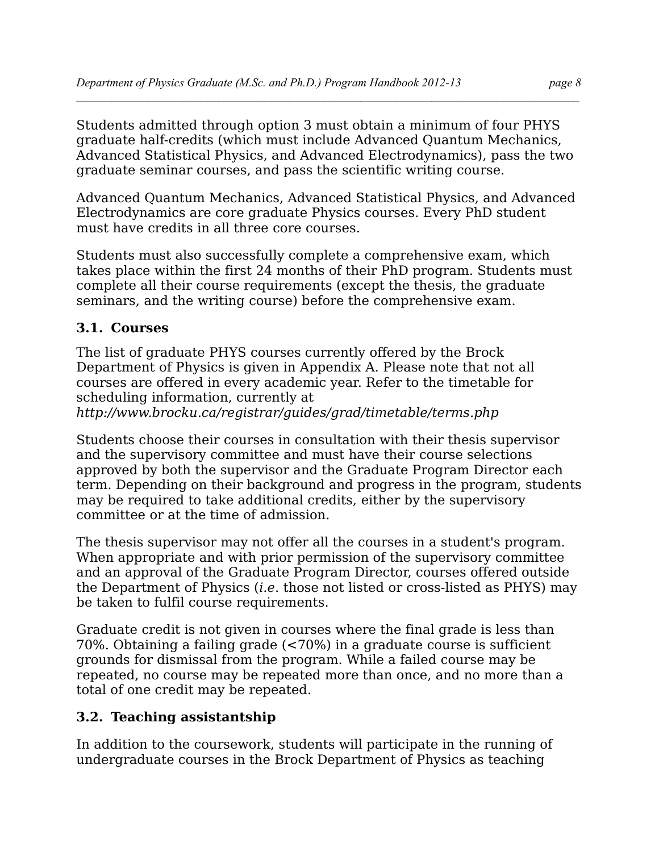Students admitted through option 3 must obtain a minimum of four PHYS graduate half-credits (which must include Advanced Quantum Mechanics, Advanced Statistical Physics, and Advanced Electrodynamics), pass the two graduate seminar courses, and pass the scientific writing course.

Advanced Quantum Mechanics, Advanced Statistical Physics, and Advanced Electrodynamics are core graduate Physics courses. Every PhD student must have credits in all three core courses.

Students must also successfully complete a comprehensive exam, which takes place within the first 24 months of their PhD program. Students must complete all their course requirements (except the thesis, the graduate seminars, and the writing course) before the comprehensive exam.

## **3.1. Courses**

The list of graduate PHYS courses currently offered by the Brock Department of Physics is given in Appendix A. Please note that not all courses are offered in every academic year. Refer to the timetable for scheduling information, currently at

*http://www.brocku.ca/registrar/guides/grad/timetable/terms.php*

Students choose their courses in consultation with their thesis supervisor and the supervisory committee and must have their course selections approved by both the supervisor and the Graduate Program Director each term. Depending on their background and progress in the program, students may be required to take additional credits, either by the supervisory committee or at the time of admission.

The thesis supervisor may not offer all the courses in a student's program. When appropriate and with prior permission of the supervisory committee and an approval of the Graduate Program Director, courses offered outside the Department of Physics (*i.e*. those not listed or cross-listed as PHYS) may be taken to fulfil course requirements.

Graduate credit is not given in courses where the final grade is less than 70%. Obtaining a failing grade (<70%) in a graduate course is sufficient grounds for dismissal from the program. While a failed course may be repeated, no course may be repeated more than once, and no more than a total of one credit may be repeated.

## **3.2. Teaching assistantship**

In addition to the coursework, students will participate in the running of undergraduate courses in the Brock Department of Physics as teaching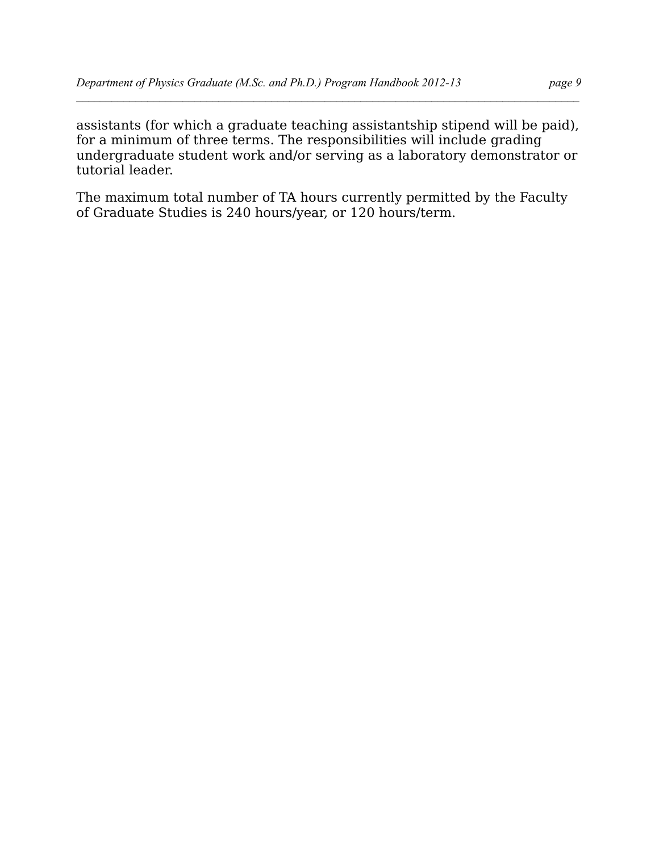assistants (for which a graduate teaching assistantship stipend will be paid), for a minimum of three terms. The responsibilities will include grading undergraduate student work and/or serving as a laboratory demonstrator or tutorial leader.

 $\mathcal{L} = \{ \mathcal{L} \mathcal{L} \mathcal{L} \mathcal{L} \mathcal{L} \mathcal{L} \mathcal{L} \mathcal{L} \mathcal{L} \mathcal{L} \mathcal{L} \mathcal{L} \mathcal{L} \mathcal{L} \mathcal{L} \mathcal{L} \mathcal{L} \mathcal{L} \mathcal{L} \mathcal{L} \mathcal{L} \mathcal{L} \mathcal{L} \mathcal{L} \mathcal{L} \mathcal{L} \mathcal{L} \mathcal{L} \mathcal{L} \mathcal{L} \mathcal{L} \mathcal{L} \mathcal{L} \mathcal{L} \mathcal{L} \$ 

The maximum total number of TA hours currently permitted by the Faculty of Graduate Studies is 240 hours/year, or 120 hours/term.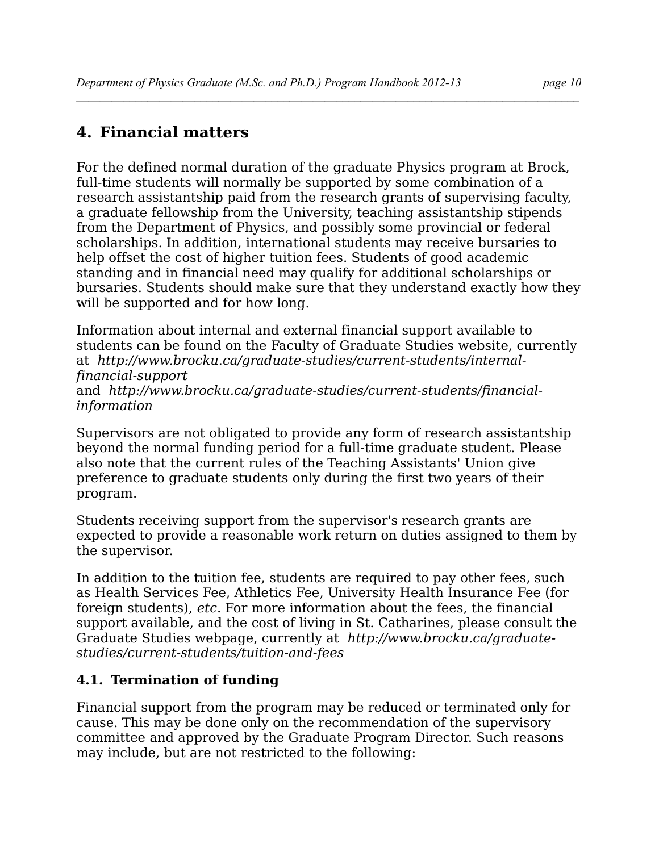# **4. Financial matters**

For the defined normal duration of the graduate Physics program at Brock, full-time students will normally be supported by some combination of a research assistantship paid from the research grants of supervising faculty, a graduate fellowship from the University, teaching assistantship stipends from the Department of Physics, and possibly some provincial or federal scholarships. In addition, international students may receive bursaries to help offset the cost of higher tuition fees. Students of good academic standing and in financial need may qualify for additional scholarships or bursaries. Students should make sure that they understand exactly how they will be supported and for how long.

 $\mathcal{L} = \{ \mathcal{L} \mathcal{L} \mathcal{L} \mathcal{L} \mathcal{L} \mathcal{L} \mathcal{L} \mathcal{L} \mathcal{L} \mathcal{L} \mathcal{L} \mathcal{L} \mathcal{L} \mathcal{L} \mathcal{L} \mathcal{L} \mathcal{L} \mathcal{L} \mathcal{L} \mathcal{L} \mathcal{L} \mathcal{L} \mathcal{L} \mathcal{L} \mathcal{L} \mathcal{L} \mathcal{L} \mathcal{L} \mathcal{L} \mathcal{L} \mathcal{L} \mathcal{L} \mathcal{L} \mathcal{L} \mathcal{L} \$ 

Information about internal and external financial support available to students can be found on the Faculty of Graduate Studies website, currently at *http://www.brocku.ca/graduate-studies/current-students/internalfinancial-support* and *http://www.brocku.ca/graduate-studies/current-students/financialinformation*

Supervisors are not obligated to provide any form of research assistantship beyond the normal funding period for a full-time graduate student. Please also note that the current rules of the Teaching Assistants' Union give preference to graduate students only during the first two years of their program.

Students receiving support from the supervisor's research grants are expected to provide a reasonable work return on duties assigned to them by the supervisor.

In addition to the tuition fee, students are required to pay other fees, such as Health Services Fee, Athletics Fee, University Health Insurance Fee (for foreign students), *etc*. For more information about the fees, the financial support available, and the cost of living in St. Catharines, please consult the Graduate Studies webpage, currently at *http://www.brocku.ca/graduatestudies/current-students/tuition-and-fees*

## **4.1. Termination of funding**

Financial support from the program may be reduced or terminated only for cause. This may be done only on the recommendation of the supervisory committee and approved by the Graduate Program Director. Such reasons may include, but are not restricted to the following: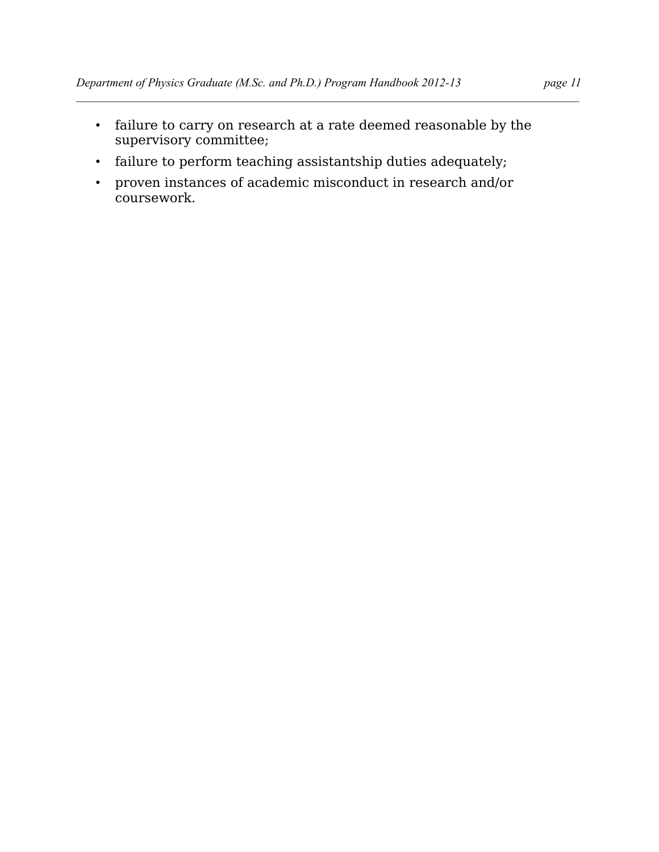- failure to carry on research at a rate deemed reasonable by the supervisory committee;
- failure to perform teaching assistantship duties adequately;
- proven instances of academic misconduct in research and/or coursework.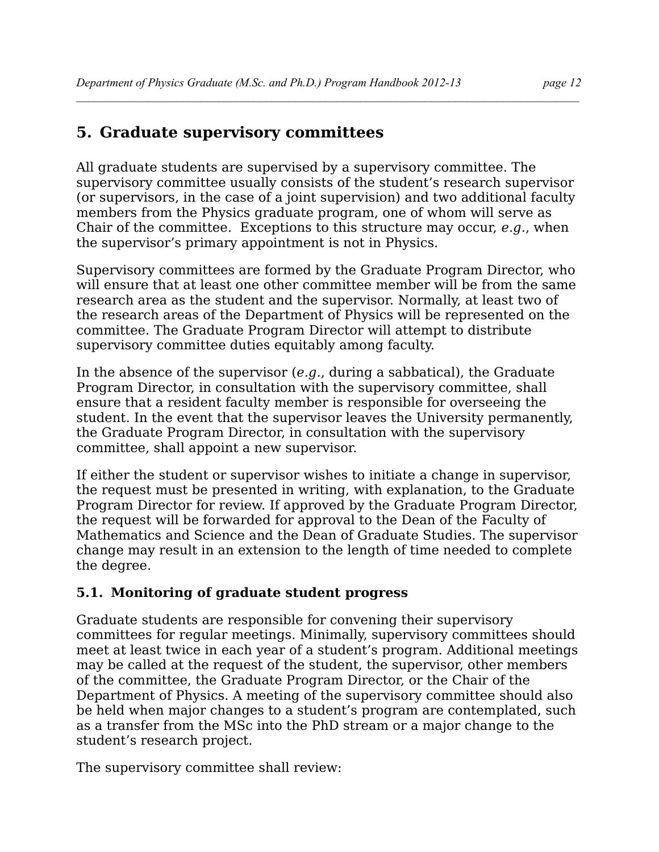## **5. Graduate supervisory committees**

All graduate students are supervised by a supervisory committee. The supervisory committee usually consists of the student's research supervisor (or supervisors, in the case of a joint supervision) and two additional faculty members from the Physics graduate program, one of whom will serve as Chair of the committee. Exceptions to this structure may occur, *e.g.*, when the supervisor's primary appointment is not in Physics.

Supervisory committees are formed by the Graduate Program Director, who will ensure that at least one other committee member will be from the same research area as the student and the supervisor. Normally, at least two of the research areas of the Department of Physics will be represented on the committee. The Graduate Program Director will attempt to distribute supervisory committee duties equitably among faculty.

In the absence of the supervisor (*e.g.*, during a sabbatical), the Graduate Program Director, in consultation with the supervisory committee, shall ensure that a resident faculty member is responsible for overseeing the student. In the event that the supervisor leaves the University permanently, the Graduate Program Director, in consultation with the supervisory committee, shall appoint a new supervisor.

If either the student or supervisor wishes to initiate a change in supervisor, the request must be presented in writing, with explanation, to the Graduate Program Director for review. If approved by the Graduate Program Director, the request will be forwarded for approval to the Dean of the Faculty of Mathematics and Science and the Dean of Graduate Studies. The supervisor change may result in an extension to the length of time needed to complete the degree.

## **5.1. Monitoring of graduate student progress**

Graduate students are responsible for convening their supervisory committees for regular meetings. Minimally, supervisory committees should meet at least twice in each year of a student's program. Additional meetings may be called at the request of the student, the supervisor, other members of the committee, the Graduate Program Director, or the Chair of the Department of Physics. A meeting of the supervisory committee should also be held when major changes to a student's program are contemplated, such as a transfer from the MSc into the PhD stream or a major change to the student's research project.

The supervisory committee shall review: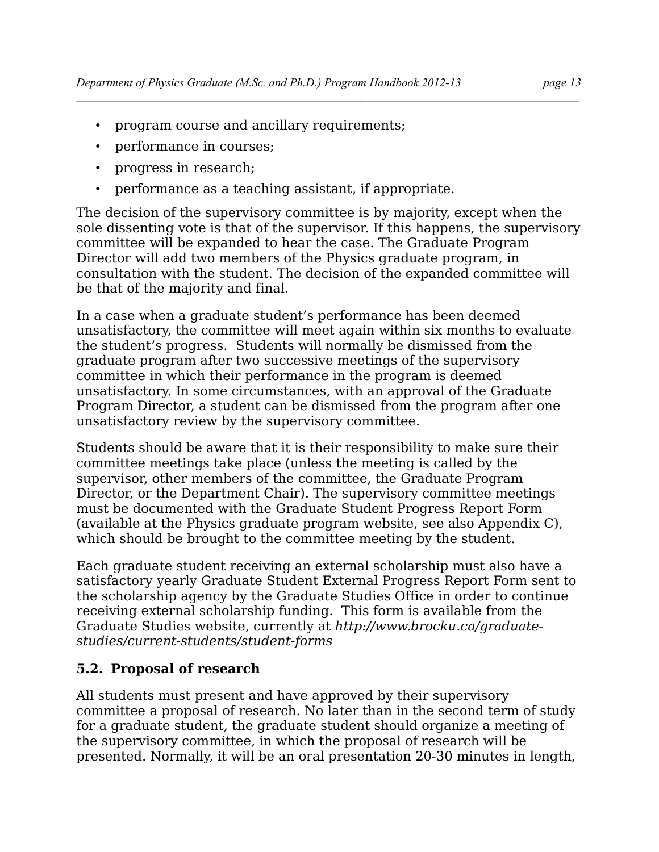- program course and ancillary requirements;
- performance in courses;
- progress in research;
- performance as a teaching assistant, if appropriate.

The decision of the supervisory committee is by majority, except when the sole dissenting vote is that of the supervisor. If this happens, the supervisory committee will be expanded to hear the case. The Graduate Program Director will add two members of the Physics graduate program, in consultation with the student. The decision of the expanded committee will be that of the majority and final.

In a case when a graduate student's performance has been deemed unsatisfactory, the committee will meet again within six months to evaluate the student's progress. Students will normally be dismissed from the graduate program after two successive meetings of the supervisory committee in which their performance in the program is deemed unsatisfactory. In some circumstances, with an approval of the Graduate Program Director, a student can be dismissed from the program after one unsatisfactory review by the supervisory committee.

Students should be aware that it is their responsibility to make sure their committee meetings take place (unless the meeting is called by the supervisor, other members of the committee, the Graduate Program Director, or the Department Chair). The supervisory committee meetings must be documented with the Graduate Student Progress Report Form (available at the Physics graduate program website, see also Appendix C), which should be brought to the committee meeting by the student.

Each graduate student receiving an external scholarship must also have a satisfactory yearly Graduate Student External Progress Report Form sent to the scholarship agency by the Graduate Studies Office in order to continue receiving external scholarship funding. This form is available from the Graduate Studies website, currently at *http://www.brocku.ca/graduatestudies/current-students/student-forms*

## **5.2. Proposal of research**

All students must present and have approved by their supervisory committee a proposal of research. No later than in the second term of study for a graduate student, the graduate student should organize a meeting of the supervisory committee, in which the proposal of research will be presented. Normally, it will be an oral presentation 20-30 minutes in length,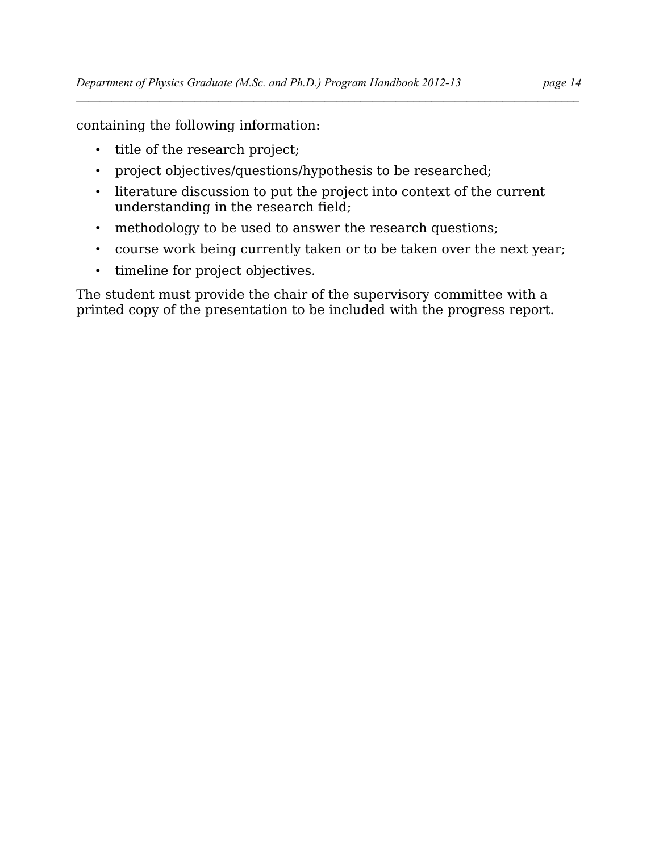containing the following information:

- title of the research project;
- project objectives/questions/hypothesis to be researched;
- literature discussion to put the project into context of the current understanding in the research field;
- methodology to be used to answer the research questions;
- course work being currently taken or to be taken over the next year;
- timeline for project objectives.

The student must provide the chair of the supervisory committee with a printed copy of the presentation to be included with the progress report.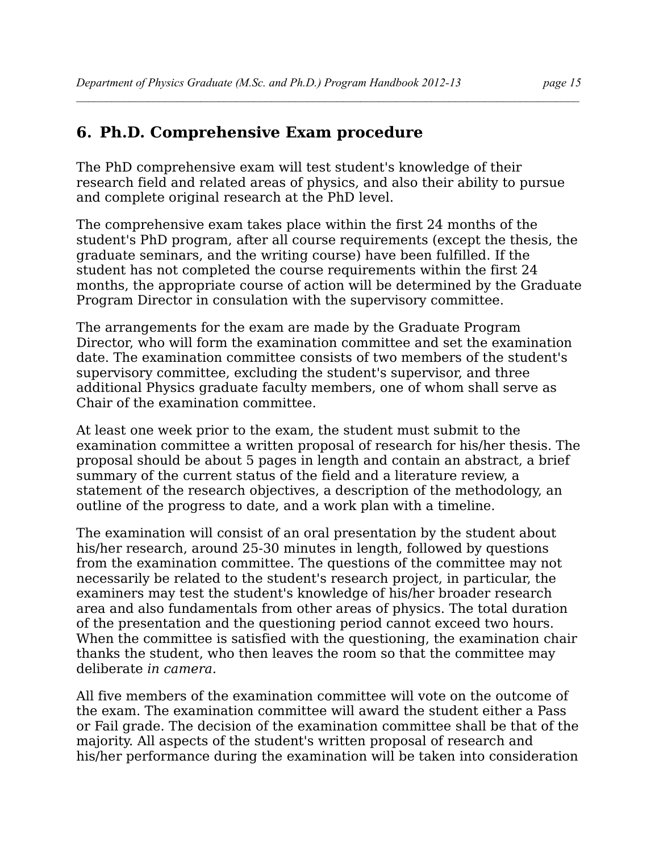## **6. Ph.D. Comprehensive Exam procedure**

The PhD comprehensive exam will test student's knowledge of their research field and related areas of physics, and also their ability to pursue and complete original research at the PhD level.

The comprehensive exam takes place within the first 24 months of the student's PhD program, after all course requirements (except the thesis, the graduate seminars, and the writing course) have been fulfilled. If the student has not completed the course requirements within the first 24 months, the appropriate course of action will be determined by the Graduate Program Director in consulation with the supervisory committee.

The arrangements for the exam are made by the Graduate Program Director, who will form the examination committee and set the examination date. The examination committee consists of two members of the student's supervisory committee, excluding the student's supervisor, and three additional Physics graduate faculty members, one of whom shall serve as Chair of the examination committee.

At least one week prior to the exam, the student must submit to the examination committee a written proposal of research for his/her thesis. The proposal should be about 5 pages in length and contain an abstract, a brief summary of the current status of the field and a literature review, a statement of the research objectives, a description of the methodology, an outline of the progress to date, and a work plan with a timeline.

The examination will consist of an oral presentation by the student about his/her research, around 25-30 minutes in length, followed by questions from the examination committee. The questions of the committee may not necessarily be related to the student's research project, in particular, the examiners may test the student's knowledge of his/her broader research area and also fundamentals from other areas of physics. The total duration of the presentation and the questioning period cannot exceed two hours. When the committee is satisfied with the questioning, the examination chair thanks the student, who then leaves the room so that the committee may deliberate *in camera.*

All five members of the examination committee will vote on the outcome of the exam. The examination committee will award the student either a Pass or Fail grade. The decision of the examination committee shall be that of the majority. All aspects of the student's written proposal of research and his/her performance during the examination will be taken into consideration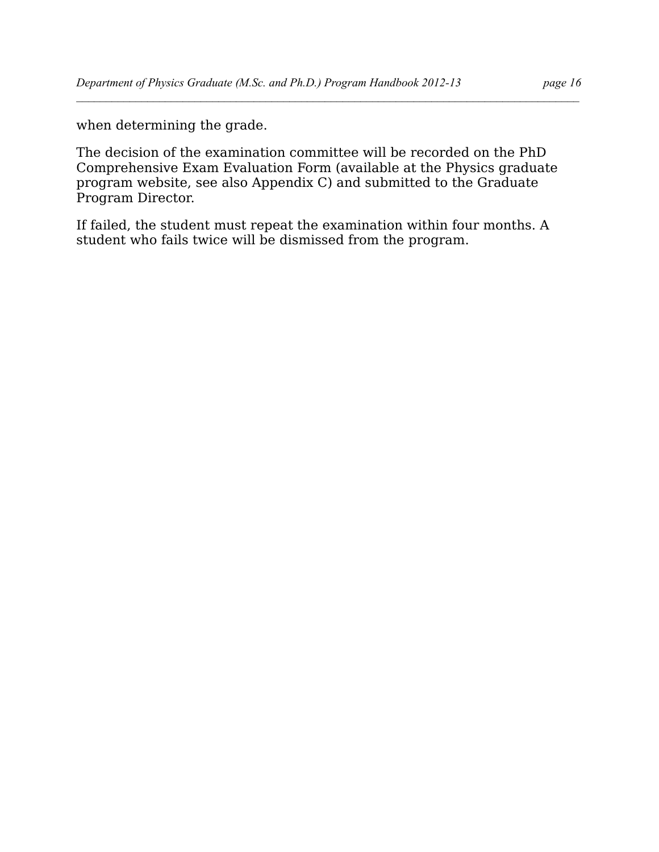when determining the grade.

The decision of the examination committee will be recorded on the PhD Comprehensive Exam Evaluation Form (available at the Physics graduate program website, see also Appendix C) and submitted to the Graduate Program Director.

 $\mathcal{L} = \{ \mathcal{L} \mathcal{L} \mathcal{L} \mathcal{L} \mathcal{L} \mathcal{L} \mathcal{L} \mathcal{L} \mathcal{L} \mathcal{L} \mathcal{L} \mathcal{L} \mathcal{L} \mathcal{L} \mathcal{L} \mathcal{L} \mathcal{L} \mathcal{L} \mathcal{L} \mathcal{L} \mathcal{L} \mathcal{L} \mathcal{L} \mathcal{L} \mathcal{L} \mathcal{L} \mathcal{L} \mathcal{L} \mathcal{L} \mathcal{L} \mathcal{L} \mathcal{L} \mathcal{L} \mathcal{L} \mathcal{L} \$ 

If failed, the student must repeat the examination within four months. A student who fails twice will be dismissed from the program.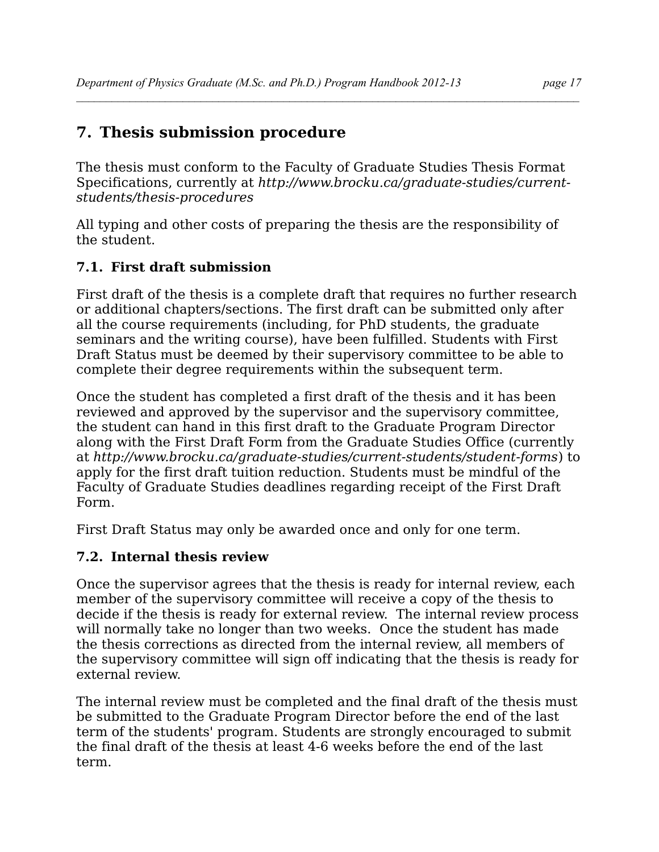## **7. Thesis submission procedure**

The thesis must conform to the Faculty of Graduate Studies Thesis Format Specifications, currently at *[http://www.brocku.ca/graduate-studies/current](http://www.brocku.ca/graduate-studies/current-students/thesis-procedures)[students/thesis-procedures](http://www.brocku.ca/graduate-studies/current-students/thesis-procedures)*

 $\mathcal{L} = \{ \mathcal{L} \mathcal{L} \mathcal{L} \mathcal{L} \mathcal{L} \mathcal{L} \mathcal{L} \mathcal{L} \mathcal{L} \mathcal{L} \mathcal{L} \mathcal{L} \mathcal{L} \mathcal{L} \mathcal{L} \mathcal{L} \mathcal{L} \mathcal{L} \mathcal{L} \mathcal{L} \mathcal{L} \mathcal{L} \mathcal{L} \mathcal{L} \mathcal{L} \mathcal{L} \mathcal{L} \mathcal{L} \mathcal{L} \mathcal{L} \mathcal{L} \mathcal{L} \mathcal{L} \mathcal{L} \mathcal{L} \$ 

All typing and other costs of preparing the thesis are the responsibility of the student.

## **7.1. First draft submission**

First draft of the thesis is a complete draft that requires no further research or additional chapters/sections. The first draft can be submitted only after all the course requirements (including, for PhD students, the graduate seminars and the writing course), have been fulfilled. Students with First Draft Status must be deemed by their supervisory committee to be able to complete their degree requirements within the subsequent term.

Once the student has completed a first draft of the thesis and it has been reviewed and approved by the supervisor and the supervisory committee, the student can hand in this first draft to the Graduate Program Director along with the First Draft Form from the Graduate Studies Office (currently at *http://www.brocku.ca/graduate-studies/current-students/student-forms*) to apply for the first draft tuition reduction. Students must be mindful of the Faculty of Graduate Studies deadlines regarding receipt of the First Draft Form.

First Draft Status may only be awarded once and only for one term.

## **7.2. Internal thesis review**

Once the supervisor agrees that the thesis is ready for internal review, each member of the supervisory committee will receive a copy of the thesis to decide if the thesis is ready for external review. The internal review process will normally take no longer than two weeks. Once the student has made the thesis corrections as directed from the internal review, all members of the supervisory committee will sign off indicating that the thesis is ready for external review.

The internal review must be completed and the final draft of the thesis must be submitted to the Graduate Program Director before the end of the last term of the students' program. Students are strongly encouraged to submit the final draft of the thesis at least 4-6 weeks before the end of the last term.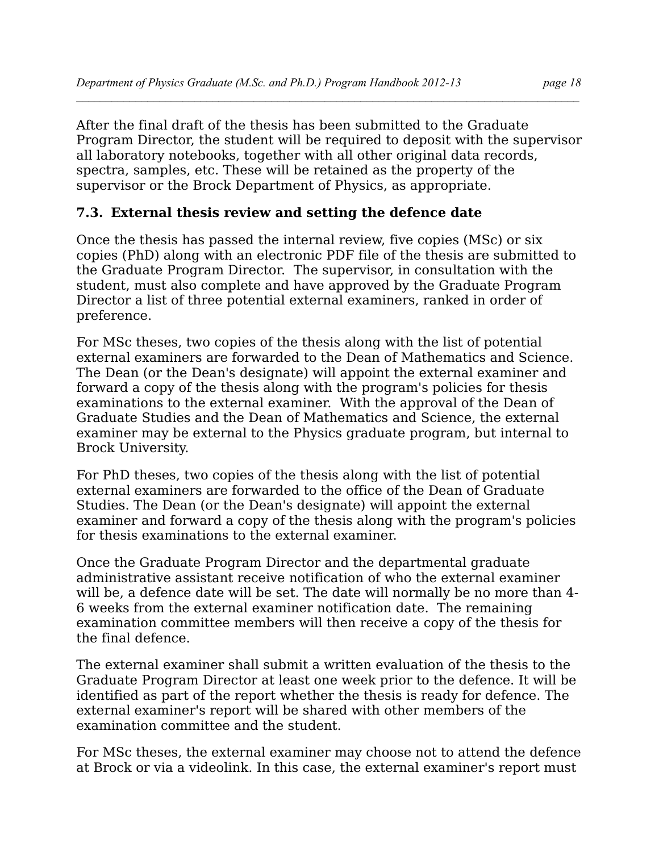After the final draft of the thesis has been submitted to the Graduate Program Director, the student will be required to deposit with the supervisor all laboratory notebooks, together with all other original data records, spectra, samples, etc. These will be retained as the property of the supervisor or the Brock Department of Physics, as appropriate.

## **7.3. External thesis review and setting the defence date**

Once the thesis has passed the internal review, five copies (MSc) or six copies (PhD) along with an electronic PDF file of the thesis are submitted to the Graduate Program Director. The supervisor, in consultation with the student, must also complete and have approved by the Graduate Program Director a list of three potential external examiners, ranked in order of preference.

For MSc theses, two copies of the thesis along with the list of potential external examiners are forwarded to the Dean of Mathematics and Science. The Dean (or the Dean's designate) will appoint the external examiner and forward a copy of the thesis along with the program's policies for thesis examinations to the external examiner. With the approval of the Dean of Graduate Studies and the Dean of Mathematics and Science, the external examiner may be external to the Physics graduate program, but internal to Brock University.

For PhD theses, two copies of the thesis along with the list of potential external examiners are forwarded to the office of the Dean of Graduate Studies. The Dean (or the Dean's designate) will appoint the external examiner and forward a copy of the thesis along with the program's policies for thesis examinations to the external examiner.

Once the Graduate Program Director and the departmental graduate administrative assistant receive notification of who the external examiner will be, a defence date will be set. The date will normally be no more than 4- 6 weeks from the external examiner notification date. The remaining examination committee members will then receive a copy of the thesis for the final defence.

The external examiner shall submit a written evaluation of the thesis to the Graduate Program Director at least one week prior to the defence. It will be identified as part of the report whether the thesis is ready for defence. The external examiner's report will be shared with other members of the examination committee and the student.

For MSc theses, the external examiner may choose not to attend the defence at Brock or via a videolink. In this case, the external examiner's report must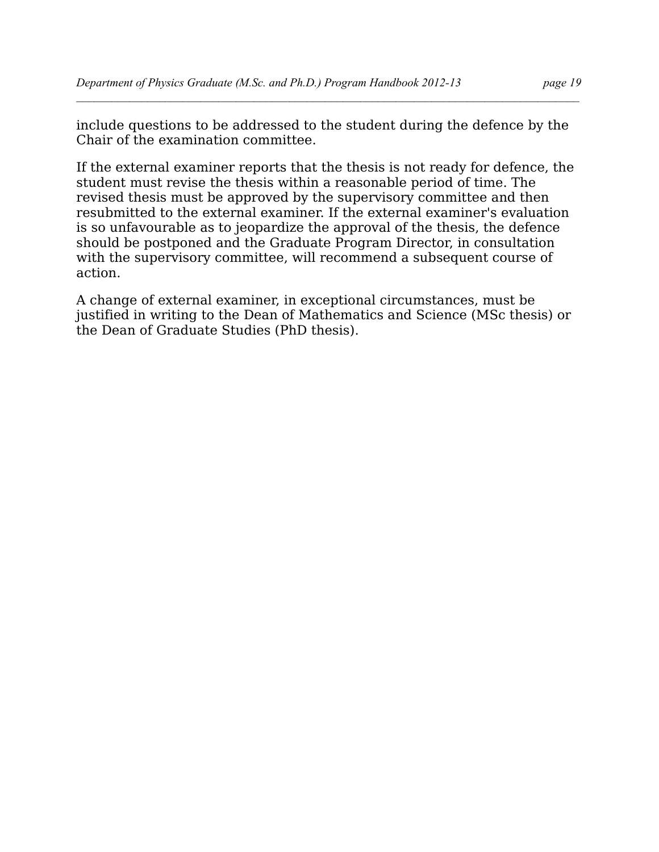include questions to be addressed to the student during the defence by the Chair of the examination committee.

 $\mathcal{L} = \{ \mathcal{L} \mathcal{L} \mathcal{L} \mathcal{L} \mathcal{L} \mathcal{L} \mathcal{L} \mathcal{L} \mathcal{L} \mathcal{L} \mathcal{L} \mathcal{L} \mathcal{L} \mathcal{L} \mathcal{L} \mathcal{L} \mathcal{L} \mathcal{L} \mathcal{L} \mathcal{L} \mathcal{L} \mathcal{L} \mathcal{L} \mathcal{L} \mathcal{L} \mathcal{L} \mathcal{L} \mathcal{L} \mathcal{L} \mathcal{L} \mathcal{L} \mathcal{L} \mathcal{L} \mathcal{L} \mathcal{L} \$ 

If the external examiner reports that the thesis is not ready for defence, the student must revise the thesis within a reasonable period of time. The revised thesis must be approved by the supervisory committee and then resubmitted to the external examiner. If the external examiner's evaluation is so unfavourable as to jeopardize the approval of the thesis, the defence should be postponed and the Graduate Program Director, in consultation with the supervisory committee, will recommend a subsequent course of action.

A change of external examiner, in exceptional circumstances, must be justified in writing to the Dean of Mathematics and Science (MSc thesis) or the Dean of Graduate Studies (PhD thesis).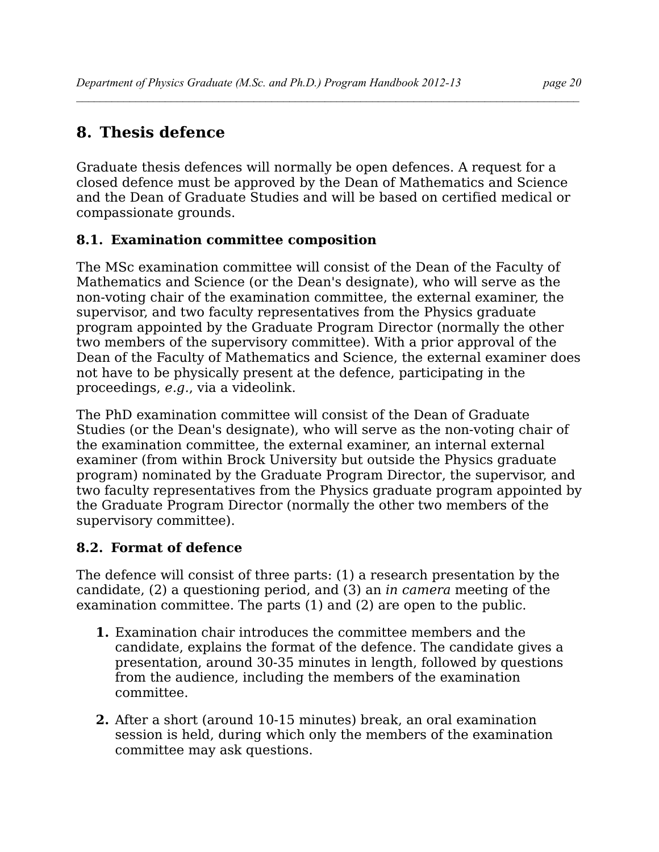# **8. Thesis defence**

Graduate thesis defences will normally be open defences. A request for a closed defence must be approved by the Dean of Mathematics and Science and the Dean of Graduate Studies and will be based on certified medical or compassionate grounds.

 $\mathcal{L} = \{ \mathcal{L} \mathcal{L} \mathcal{L} \mathcal{L} \mathcal{L} \mathcal{L} \mathcal{L} \mathcal{L} \mathcal{L} \mathcal{L} \mathcal{L} \mathcal{L} \mathcal{L} \mathcal{L} \mathcal{L} \mathcal{L} \mathcal{L} \mathcal{L} \mathcal{L} \mathcal{L} \mathcal{L} \mathcal{L} \mathcal{L} \mathcal{L} \mathcal{L} \mathcal{L} \mathcal{L} \mathcal{L} \mathcal{L} \mathcal{L} \mathcal{L} \mathcal{L} \mathcal{L} \mathcal{L} \mathcal{L} \$ 

## **8.1. Examination committee composition**

The MSc examination committee will consist of the Dean of the Faculty of Mathematics and Science (or the Dean's designate), who will serve as the non-voting chair of the examination committee, the external examiner, the supervisor, and two faculty representatives from the Physics graduate program appointed by the Graduate Program Director (normally the other two members of the supervisory committee). With a prior approval of the Dean of the Faculty of Mathematics and Science, the external examiner does not have to be physically present at the defence, participating in the proceedings, *e.g.*, via a videolink.

The PhD examination committee will consist of the Dean of Graduate Studies (or the Dean's designate), who will serve as the non-voting chair of the examination committee, the external examiner, an internal external examiner (from within Brock University but outside the Physics graduate program) nominated by the Graduate Program Director, the supervisor, and two faculty representatives from the Physics graduate program appointed by the Graduate Program Director (normally the other two members of the supervisory committee).

## **8.2. Format of defence**

The defence will consist of three parts: (1) a research presentation by the candidate, (2) a questioning period, and (3) an *in camera* meeting of the examination committee. The parts (1) and (2) are open to the public.

- **1.** Examination chair introduces the committee members and the candidate, explains the format of the defence. The candidate gives a presentation, around 30-35 minutes in length, followed by questions from the audience, including the members of the examination committee.
- **2.** After a short (around 10-15 minutes) break, an oral examination session is held, during which only the members of the examination committee may ask questions.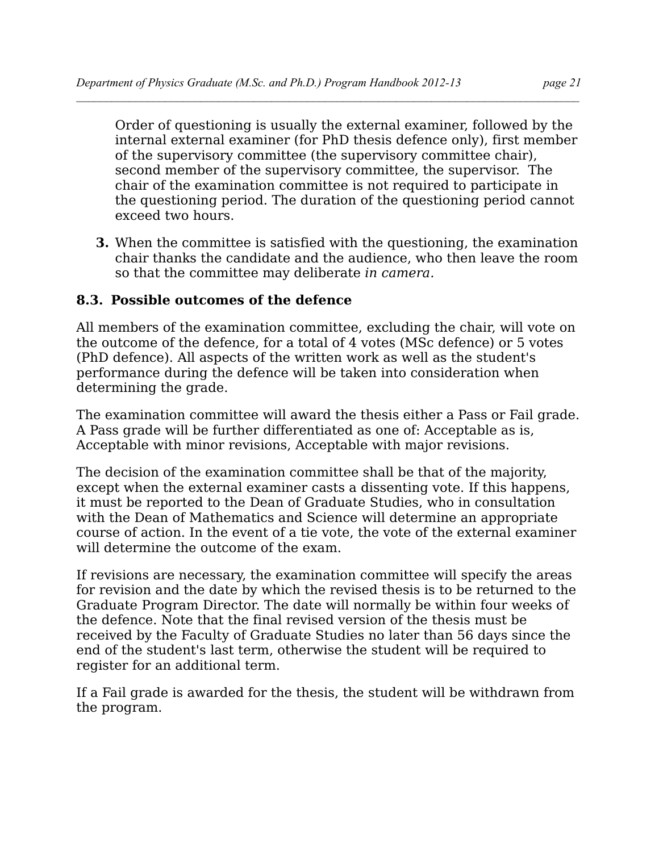Order of questioning is usually the external examiner, followed by the internal external examiner (for PhD thesis defence only), first member of the supervisory committee (the supervisory committee chair), second member of the supervisory committee, the supervisor. The chair of the examination committee is not required to participate in the questioning period. The duration of the questioning period cannot exceed two hours.

 $\mathcal{L} = \{ \mathcal{L} \mathcal{L} \mathcal{L} \mathcal{L} \mathcal{L} \mathcal{L} \mathcal{L} \mathcal{L} \mathcal{L} \mathcal{L} \mathcal{L} \mathcal{L} \mathcal{L} \mathcal{L} \mathcal{L} \mathcal{L} \mathcal{L} \mathcal{L} \mathcal{L} \mathcal{L} \mathcal{L} \mathcal{L} \mathcal{L} \mathcal{L} \mathcal{L} \mathcal{L} \mathcal{L} \mathcal{L} \mathcal{L} \mathcal{L} \mathcal{L} \mathcal{L} \mathcal{L} \mathcal{L} \mathcal{L} \$ 

**3.** When the committee is satisfied with the questioning, the examination chair thanks the candidate and the audience, who then leave the room so that the committee may deliberate *in camera.*

## **8.3. Possible outcomes of the defence**

All members of the examination committee, excluding the chair, will vote on the outcome of the defence, for a total of 4 votes (MSc defence) or 5 votes (PhD defence). All aspects of the written work as well as the student's performance during the defence will be taken into consideration when determining the grade.

The examination committee will award the thesis either a Pass or Fail grade. A Pass grade will be further differentiated as one of: Acceptable as is, Acceptable with minor revisions, Acceptable with major revisions.

The decision of the examination committee shall be that of the majority, except when the external examiner casts a dissenting vote. If this happens, it must be reported to the Dean of Graduate Studies, who in consultation with the Dean of Mathematics and Science will determine an appropriate course of action. In the event of a tie vote, the vote of the external examiner will determine the outcome of the exam.

If revisions are necessary, the examination committee will specify the areas for revision and the date by which the revised thesis is to be returned to the Graduate Program Director. The date will normally be within four weeks of the defence. Note that the final revised version of the thesis must be received by the Faculty of Graduate Studies no later than 56 days since the end of the student's last term, otherwise the student will be required to register for an additional term.

If a Fail grade is awarded for the thesis, the student will be withdrawn from the program.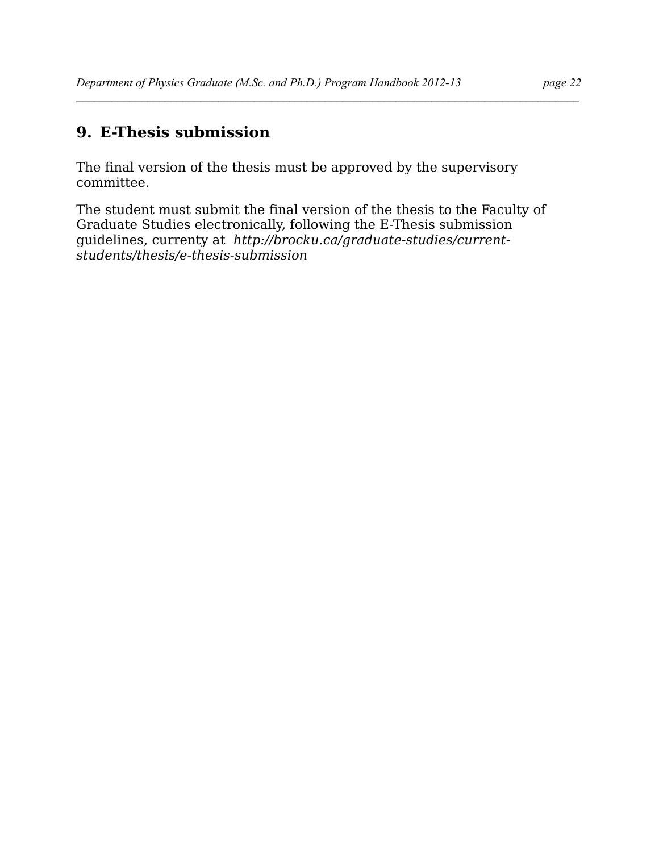## **9. E-Thesis submission**

The final version of the thesis must be approved by the supervisory committee.

The student must submit the final version of the thesis to the Faculty of Graduate Studies electronically, following the E-Thesis submission guidelines, currenty at *http://brocku.ca/graduate-studies/currentstudents/thesis/e-thesis-submission*

 $\mathcal{L} = \{ \mathcal{L} \mathcal{L} \mathcal{L} \mathcal{L} \mathcal{L} \mathcal{L} \mathcal{L} \mathcal{L} \mathcal{L} \mathcal{L} \mathcal{L} \mathcal{L} \mathcal{L} \mathcal{L} \mathcal{L} \mathcal{L} \mathcal{L} \mathcal{L} \mathcal{L} \mathcal{L} \mathcal{L} \mathcal{L} \mathcal{L} \mathcal{L} \mathcal{L} \mathcal{L} \mathcal{L} \mathcal{L} \mathcal{L} \mathcal{L} \mathcal{L} \mathcal{L} \mathcal{L} \mathcal{L} \mathcal{L} \$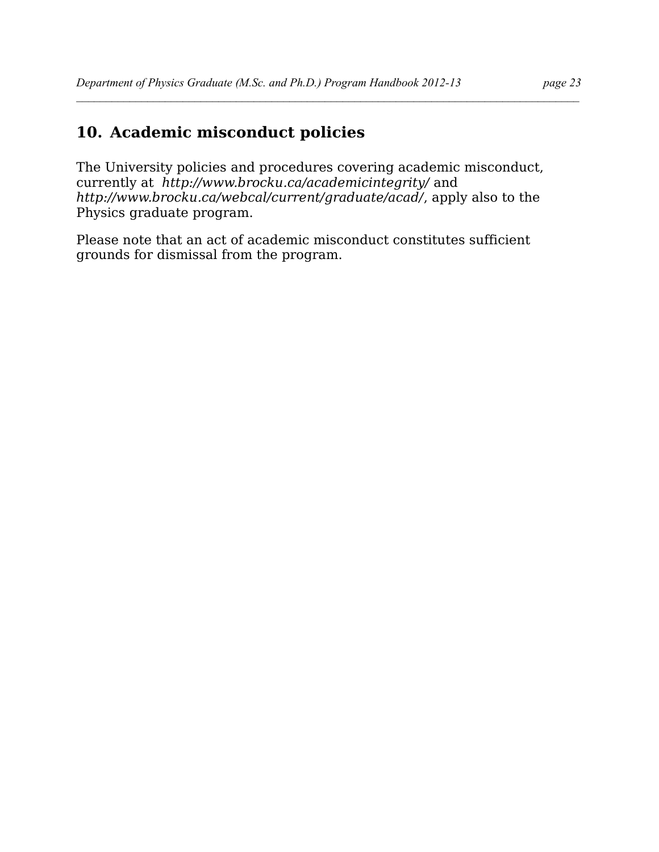# **10. Academic misconduct policies**

The University policies and procedures covering academic misconduct, currently at *<http://www.brocku.ca/academicintegrity/>* and *http://www.brocku.ca/webcal/current/graduate/acad/*, apply also to the Physics graduate program.

 $\mathcal{L} = \{ \mathcal{L} \mathcal{L} \mathcal{L} \mathcal{L} \mathcal{L} \mathcal{L} \mathcal{L} \mathcal{L} \mathcal{L} \mathcal{L} \mathcal{L} \mathcal{L} \mathcal{L} \mathcal{L} \mathcal{L} \mathcal{L} \mathcal{L} \mathcal{L} \mathcal{L} \mathcal{L} \mathcal{L} \mathcal{L} \mathcal{L} \mathcal{L} \mathcal{L} \mathcal{L} \mathcal{L} \mathcal{L} \mathcal{L} \mathcal{L} \mathcal{L} \mathcal{L} \mathcal{L} \mathcal{L} \mathcal{L} \$ 

Please note that an act of academic misconduct constitutes sufficient grounds for dismissal from the program.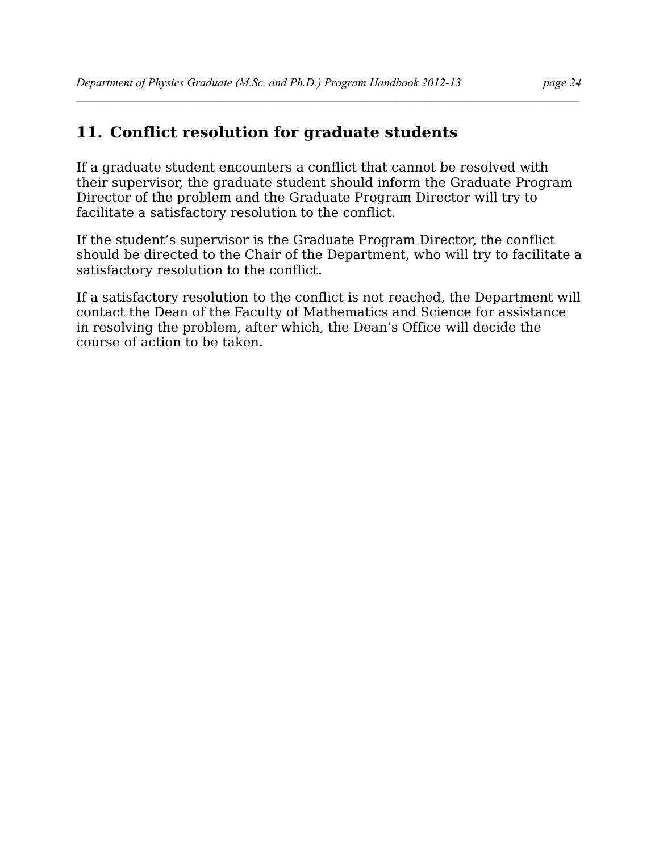## **11. Conflict resolution for graduate students**

If a graduate student encounters a conflict that cannot be resolved with their supervisor, the graduate student should inform the Graduate Program Director of the problem and the Graduate Program Director will try to facilitate a satisfactory resolution to the conflict.

 $\mathcal{L} = \{ \mathcal{L} \mathcal{L} \mathcal{L} \mathcal{L} \mathcal{L} \mathcal{L} \mathcal{L} \mathcal{L} \mathcal{L} \mathcal{L} \mathcal{L} \mathcal{L} \mathcal{L} \mathcal{L} \mathcal{L} \mathcal{L} \mathcal{L} \mathcal{L} \mathcal{L} \mathcal{L} \mathcal{L} \mathcal{L} \mathcal{L} \mathcal{L} \mathcal{L} \mathcal{L} \mathcal{L} \mathcal{L} \mathcal{L} \mathcal{L} \mathcal{L} \mathcal{L} \mathcal{L} \mathcal{L} \mathcal{L} \$ 

If the student's supervisor is the Graduate Program Director, the conflict should be directed to the Chair of the Department, who will try to facilitate a satisfactory resolution to the conflict.

If a satisfactory resolution to the conflict is not reached, the Department will contact the Dean of the Faculty of Mathematics and Science for assistance in resolving the problem, after which, the Dean's Office will decide the course of action to be taken.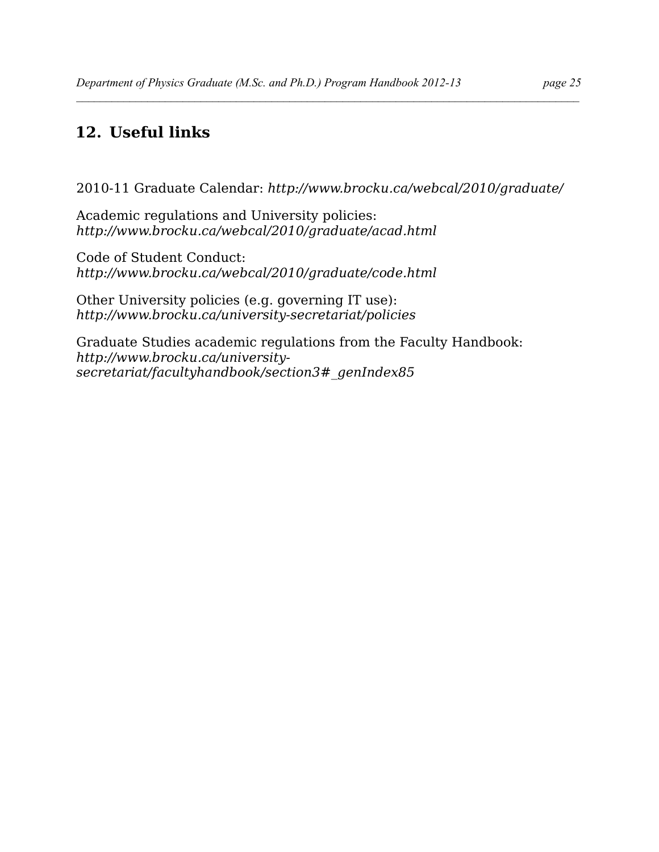# **12. Useful links**

2010-11 Graduate Calendar: *http://www.brocku.ca/webcal/2010/graduate/*

 $\mathcal{L} = \{ \mathcal{L} \mathcal{L} \mathcal{L} \mathcal{L} \mathcal{L} \mathcal{L} \mathcal{L} \mathcal{L} \mathcal{L} \mathcal{L} \mathcal{L} \mathcal{L} \mathcal{L} \mathcal{L} \mathcal{L} \mathcal{L} \mathcal{L} \mathcal{L} \mathcal{L} \mathcal{L} \mathcal{L} \mathcal{L} \mathcal{L} \mathcal{L} \mathcal{L} \mathcal{L} \mathcal{L} \mathcal{L} \mathcal{L} \mathcal{L} \mathcal{L} \mathcal{L} \mathcal{L} \mathcal{L} \mathcal{L} \$ 

Academic regulations and University policies: *http://www.brocku.ca/webcal/2010/graduate/acad.html* 

Code of Student Conduct: *http://www.brocku.ca/webcal/2010/graduate/code.html*

Other University policies (e.g. governing IT use): *http://www.brocku.ca/university-secretariat/policies*

Graduate Studies academic regulations from the Faculty Handbook: *http://www.brocku.ca/universitysecretariat/facultyhandbook/section3#\_genIndex85*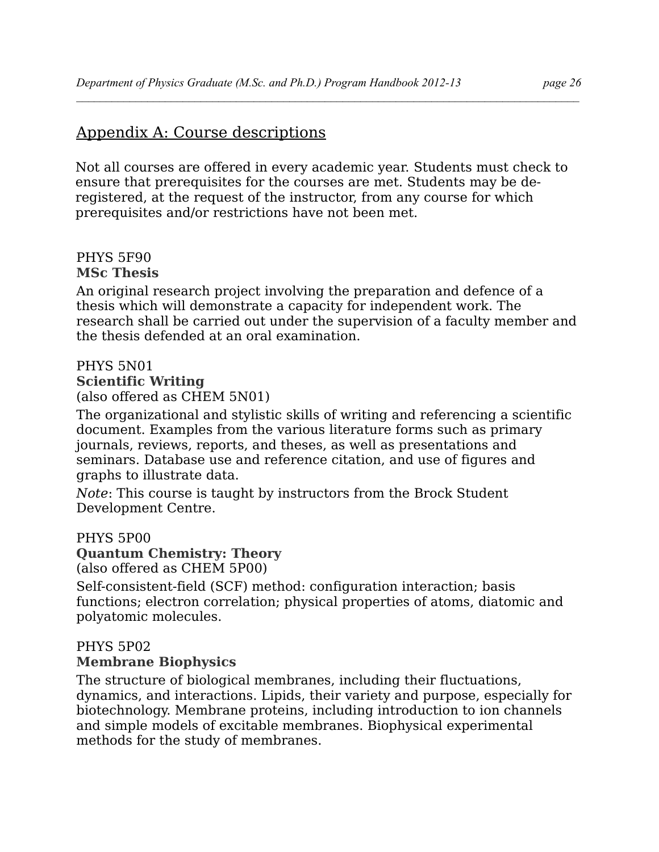## Appendix A: Course descriptions

Not all courses are offered in every academic year. Students must check to ensure that prerequisites for the courses are met. Students may be deregistered, at the request of the instructor, from any course for which prerequisites and/or restrictions have not been met.

 $\mathcal{L} = \{ \mathcal{L} \mathcal{L} \mathcal{L} \mathcal{L} \mathcal{L} \mathcal{L} \mathcal{L} \mathcal{L} \mathcal{L} \mathcal{L} \mathcal{L} \mathcal{L} \mathcal{L} \mathcal{L} \mathcal{L} \mathcal{L} \mathcal{L} \mathcal{L} \mathcal{L} \mathcal{L} \mathcal{L} \mathcal{L} \mathcal{L} \mathcal{L} \mathcal{L} \mathcal{L} \mathcal{L} \mathcal{L} \mathcal{L} \mathcal{L} \mathcal{L} \mathcal{L} \mathcal{L} \mathcal{L} \mathcal{L} \$ 

#### PHYS 5F90 **MSc Thesis**

An original research project involving the preparation and defence of a thesis which will demonstrate a capacity for independent work. The research shall be carried out under the supervision of a faculty member and the thesis defended at an oral examination.

## PHYS 5N01 **Scientific Writing**

(also offered as CHEM 5N01)

The organizational and stylistic skills of writing and referencing a scientific document. Examples from the various literature forms such as primary journals, reviews, reports, and theses, as well as presentations and seminars. Database use and reference citation, and use of figures and graphs to illustrate data.

*Note*: This course is taught by instructors from the Brock Student Development Centre.

## PHYS 5P00

**Quantum Chemistry: Theory**

(also offered as CHEM 5P00)

Self-consistent-field (SCF) method: configuration interaction; basis functions; electron correlation; physical properties of atoms, diatomic and polyatomic molecules.

# PHYS 5P02

## **Membrane Biophysics**

The structure of biological membranes, including their fluctuations, dynamics, and interactions. Lipids, their variety and purpose, especially for biotechnology. Membrane proteins, including introduction to ion channels and simple models of excitable membranes. Biophysical experimental methods for the study of membranes.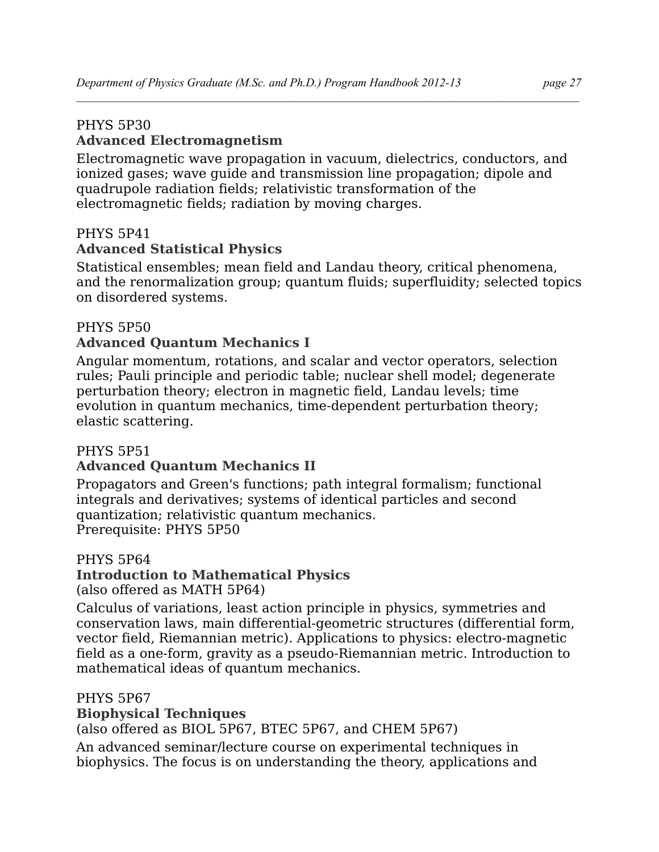## PHYS 5P30

## **Advanced Electromagnetism**

Electromagnetic wave propagation in vacuum, dielectrics, conductors, and ionized gases; wave guide and transmission line propagation; dipole and quadrupole radiation fields; relativistic transformation of the electromagnetic fields; radiation by moving charges.

## PHYS 5P41

## **Advanced Statistical Physics**

Statistical ensembles; mean field and Landau theory, critical phenomena, and the renormalization group; quantum fluids; superfluidity; selected topics on disordered systems.

## PHYS 5P50

## **Advanced Quantum Mechanics I**

Angular momentum, rotations, and scalar and vector operators, selection rules; Pauli principle and periodic table; nuclear shell model; degenerate perturbation theory; electron in magnetic field, Landau levels; time evolution in quantum mechanics, time-dependent perturbation theory; elastic scattering.

## PHYS 5P51

## **Advanced Quantum Mechanics II**

Propagators and Green's functions; path integral formalism; functional integrals and derivatives; systems of identical particles and second quantization; relativistic quantum mechanics. Prerequisite: PHYS 5P50

#### PHYS 5P64

## **Introduction to Mathematical Physics**

(also offered as MATH 5P64)

Calculus of variations, least action principle in physics, symmetries and conservation laws, main differential-geometric structures (differential form, vector field, Riemannian metric). Applications to physics: electro-magnetic field as a one-form, gravity as a pseudo-Riemannian metric. Introduction to mathematical ideas of quantum mechanics.

## PHYS 5P67

## **Biophysical Techniques**

(also offered as BIOL 5P67, BTEC 5P67, and CHEM 5P67)

An advanced seminar/lecture course on experimental techniques in biophysics. The focus is on understanding the theory, applications and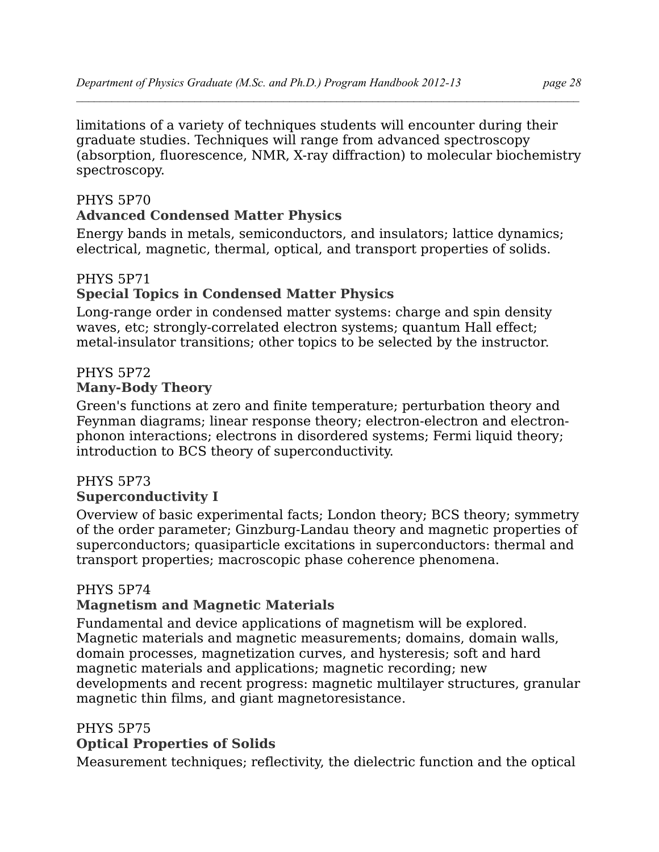limitations of a variety of techniques students will encounter during their graduate studies. Techniques will range from advanced spectroscopy (absorption, fluorescence, NMR, X-ray diffraction) to molecular biochemistry spectroscopy.

## PHYS 5P70

## **Advanced Condensed Matter Physics**

Energy bands in metals, semiconductors, and insulators; lattice dynamics; electrical, magnetic, thermal, optical, and transport properties of solids.

## PHYS 5P71 **Special Topics in Condensed Matter Physics**

Long-range order in condensed matter systems: charge and spin density waves, etc; strongly-correlated electron systems; quantum Hall effect; metal-insulator transitions; other topics to be selected by the instructor.

## PHYS 5P72

#### **Many-Body Theory**

Green's functions at zero and finite temperature; perturbation theory and Feynman diagrams; linear response theory; electron-electron and electronphonon interactions; electrons in disordered systems; Fermi liquid theory; introduction to BCS theory of superconductivity.

## PHYS 5P73

## **Superconductivity I**

Overview of basic experimental facts; London theory; BCS theory; symmetry of the order parameter; Ginzburg-Landau theory and magnetic properties of superconductors; quasiparticle excitations in superconductors: thermal and transport properties; macroscopic phase coherence phenomena.

#### PHYS 5P74

## **Magnetism and Magnetic Materials**

Fundamental and device applications of magnetism will be explored. Magnetic materials and magnetic measurements; domains, domain walls, domain processes, magnetization curves, and hysteresis; soft and hard magnetic materials and applications; magnetic recording; new developments and recent progress: magnetic multilayer structures, granular magnetic thin films, and giant magnetoresistance.

## PHYS 5P75

## **Optical Properties of Solids**

Measurement techniques; reflectivity, the dielectric function and the optical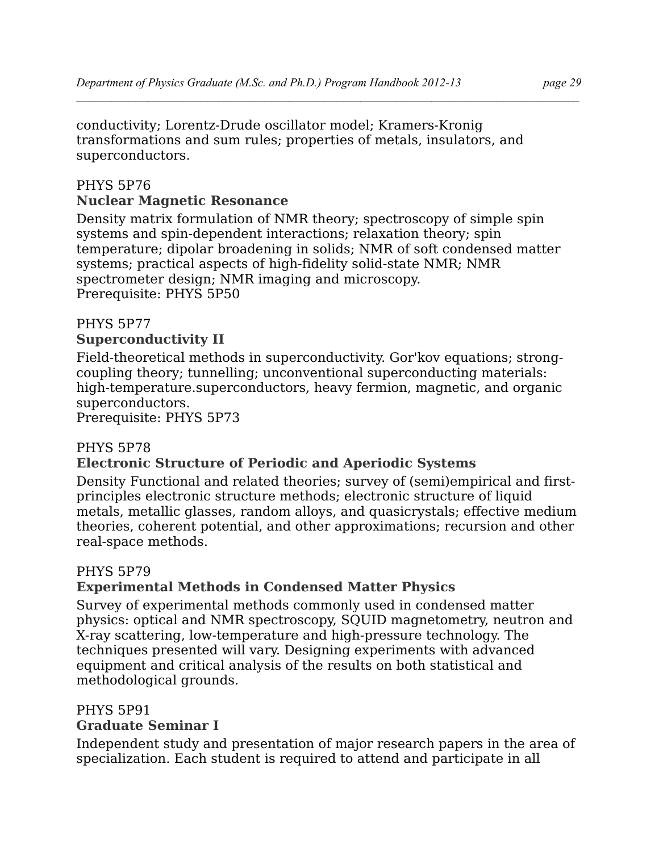conductivity; Lorentz-Drude oscillator model; Kramers-Kronig transformations and sum rules; properties of metals, insulators, and superconductors.

## PHYS 5P76 **Nuclear Magnetic Resonance**

Density matrix formulation of NMR theory; spectroscopy of simple spin systems and spin-dependent interactions; relaxation theory; spin temperature; dipolar broadening in solids; NMR of soft condensed matter systems; practical aspects of high-fidelity solid-state NMR; NMR spectrometer design; NMR imaging and microscopy. Prerequisite: PHYS 5P50

## PHYS 5P77

## **Superconductivity II**

Field-theoretical methods in superconductivity. Gor'kov equations; strongcoupling theory; tunnelling; unconventional superconducting materials: high-temperature.superconductors, heavy fermion, magnetic, and organic superconductors.

Prerequisite: PHYS 5P73

## PHYS 5P78

## **Electronic Structure of Periodic and Aperiodic Systems**

Density Functional and related theories; survey of (semi)empirical and firstprinciples electronic structure methods; electronic structure of liquid metals, metallic glasses, random alloys, and quasicrystals; effective medium theories, coherent potential, and other approximations; recursion and other real-space methods.

## PHYS 5P79

## **Experimental Methods in Condensed Matter Physics**

Survey of experimental methods commonly used in condensed matter physics: optical and NMR spectroscopy, SQUID magnetometry, neutron and X-ray scattering, low-temperature and high-pressure technology. The techniques presented will vary. Designing experiments with advanced equipment and critical analysis of the results on both statistical and methodological grounds.

## PHYS 5P91

## **Graduate Seminar I**

Independent study and presentation of major research papers in the area of specialization. Each student is required to attend and participate in all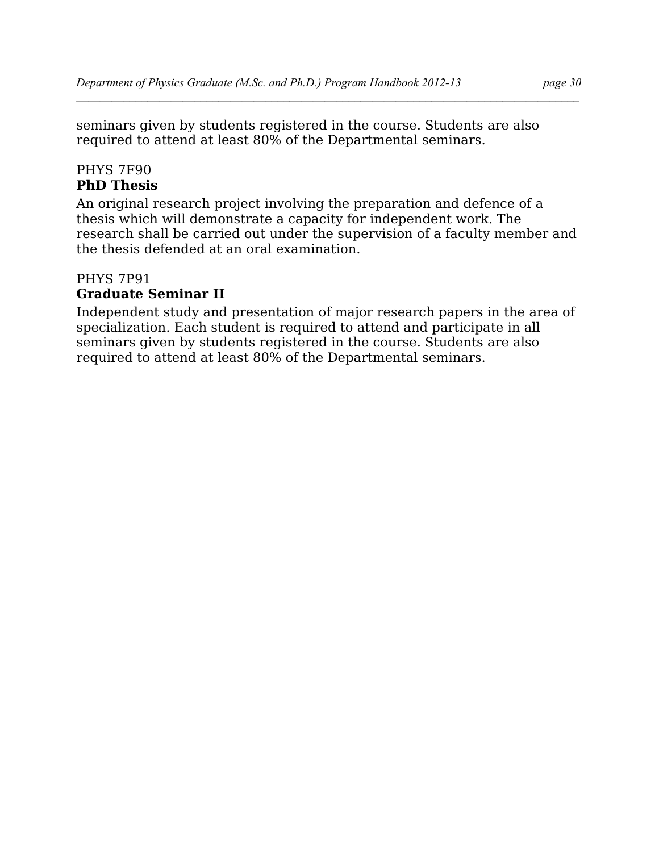seminars given by students registered in the course. Students are also required to attend at least 80% of the Departmental seminars.

#### PHYS 7F90 **PhD Thesis**

An original research project involving the preparation and defence of a thesis which will demonstrate a capacity for independent work. The research shall be carried out under the supervision of a faculty member and the thesis defended at an oral examination.

## PHYS 7P91 **Graduate Seminar II**

Independent study and presentation of major research papers in the area of specialization. Each student is required to attend and participate in all seminars given by students registered in the course. Students are also required to attend at least 80% of the Departmental seminars.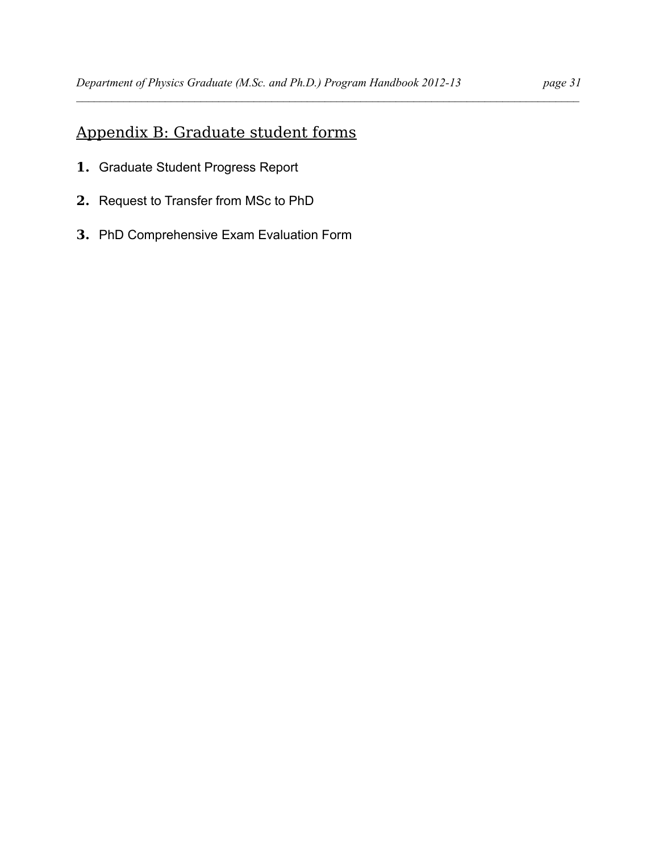# Appendix B: Graduate student forms

- **1.** Graduate Student Progress Report
- **2.** Request to Transfer from MSc to PhD
- **3.** PhD Comprehensive Exam Evaluation Form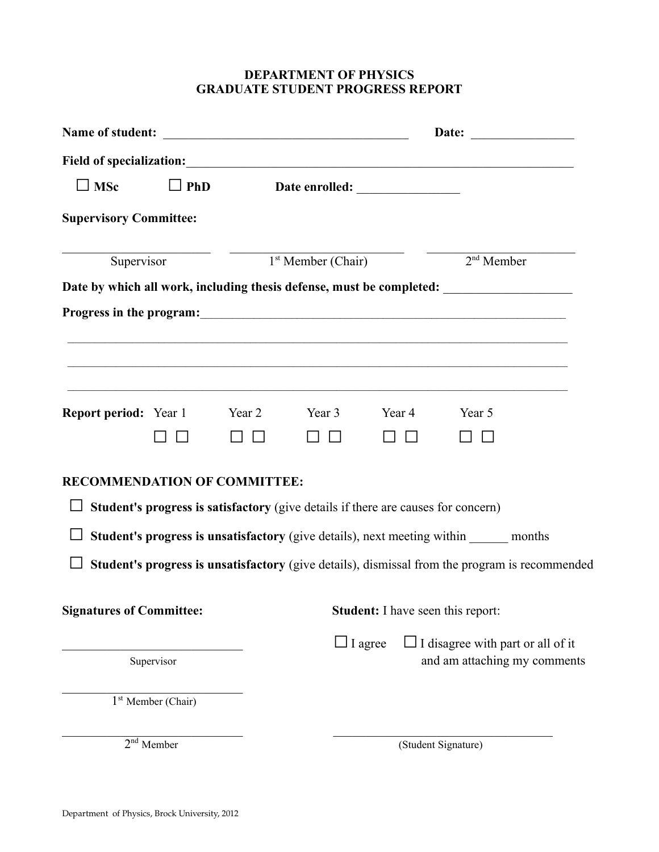## **DEPARTMENT OF PHYSICS GRADUATE STUDENT PROGRESS REPORT**

| $\Box$ MSc                          | $\Box$ PhD           |                                          |                                                                                   |        |                                                                                                                                                                             |  |
|-------------------------------------|----------------------|------------------------------------------|-----------------------------------------------------------------------------------|--------|-----------------------------------------------------------------------------------------------------------------------------------------------------------------------------|--|
| <b>Supervisory Committee:</b>       |                      |                                          |                                                                                   |        |                                                                                                                                                                             |  |
| Supervisor                          |                      |                                          | $1st$ Member (Chair)                                                              |        | $2nd$ Member                                                                                                                                                                |  |
|                                     |                      |                                          |                                                                                   |        | Date by which all work, including thesis defense, must be completed: __________________<br>,我们也不能在这里的人,我们也不能在这里的人,我们也不能不能不能不能不能不能不能不能不能不能不能不能不能不能。""我们的人,我们也不能不能不能不能不能不能不能不 |  |
| <b>Report period:</b> Year 1        |                      | Year 2                                   | Year 3<br>П<br>$\Box$                                                             | Year 4 | Year 5                                                                                                                                                                      |  |
| <b>RECOMMENDATION OF COMMITTEE:</b> |                      |                                          | Student's progress is satisfactory (give details if there are causes for concern) |        |                                                                                                                                                                             |  |
|                                     |                      |                                          |                                                                                   |        | Student's progress is unsatisfactory (give details), next meeting within ______ months                                                                                      |  |
|                                     |                      |                                          |                                                                                   |        | Student's progress is unsatisfactory (give details), dismissal from the program is recommended                                                                              |  |
| <b>Signatures of Committee:</b>     |                      | <b>Student:</b> I have seen this report: |                                                                                   |        |                                                                                                                                                                             |  |
|                                     | Supervisor           |                                          | $\Box$ I agree                                                                    |        | $\Box$ I disagree with part or all of it<br>and am attaching my comments                                                                                                    |  |
|                                     | $1st$ Member (Chair) |                                          |                                                                                   |        |                                                                                                                                                                             |  |
|                                     | $2nd$ Member         |                                          |                                                                                   |        | (Student Signature)                                                                                                                                                         |  |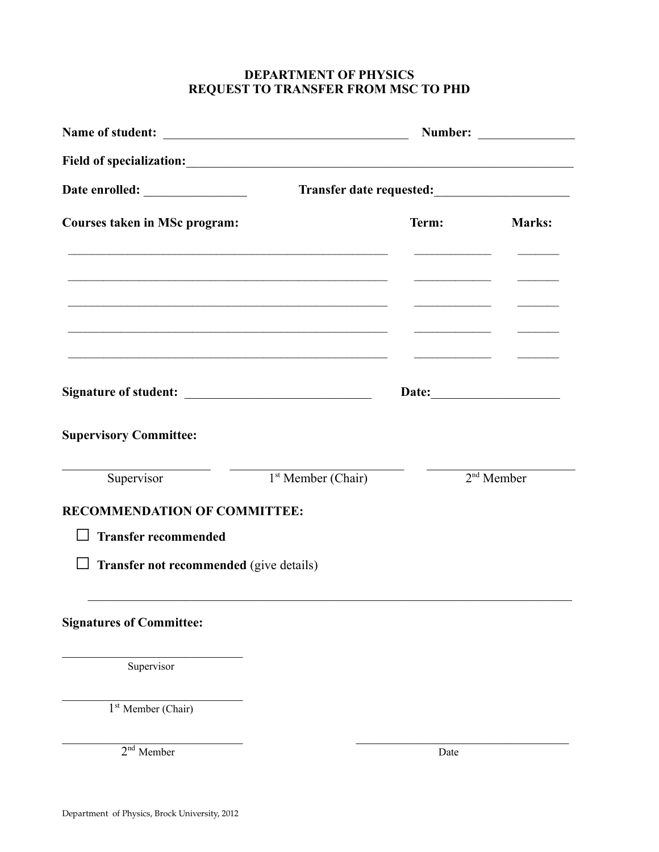## **DEPARTMENT OF PHYSICS REQUEST TO TRANSFER FROM MSC TO PHD**

| <b>Courses taken in MSc program:</b>              | <u> 1999 - Jan James James, martin amerikan basar (j. 1989)</u>                                                      |                                                                                                                                                                                                                                                                                                                                                                                                  | Term: Marks: |  |  |
|---------------------------------------------------|----------------------------------------------------------------------------------------------------------------------|--------------------------------------------------------------------------------------------------------------------------------------------------------------------------------------------------------------------------------------------------------------------------------------------------------------------------------------------------------------------------------------------------|--------------|--|--|
|                                                   | <u> 1989 - Jan James James James James James James James James James James James James James James James James J</u> | <u> Alexandria de la conte</u><br><u> Andreas Andreas Andreas Andreas Andreas Andreas Andreas Andreas Andreas Andreas Andreas Andreas Andreas Andreas Andreas Andreas Andreas Andreas Andreas Andreas Andreas Andreas Andreas Andreas Andreas Andreas Andreas Andr</u><br><u> Alexander al III de la construcción de la construcción de la construcción de la construcción de la construcció</u> |              |  |  |
|                                                   | <u> 1999 - Jan James James, margaret amerikan basar (j. 1989)</u>                                                    |                                                                                                                                                                                                                                                                                                                                                                                                  | Date:        |  |  |
| <b>Supervisory Committee:</b>                     |                                                                                                                      |                                                                                                                                                                                                                                                                                                                                                                                                  |              |  |  |
|                                                   | Supervisor $1st$ Member (Chair)                                                                                      | $2nd$ Member                                                                                                                                                                                                                                                                                                                                                                                     |              |  |  |
| <b>RECOMMENDATION OF COMMITTEE:</b>               |                                                                                                                      |                                                                                                                                                                                                                                                                                                                                                                                                  |              |  |  |
| <b>Transfer recommended</b><br>$\mathsf{L}$       |                                                                                                                      |                                                                                                                                                                                                                                                                                                                                                                                                  |              |  |  |
| Transfer not recommended (give details)<br>$\Box$ |                                                                                                                      |                                                                                                                                                                                                                                                                                                                                                                                                  |              |  |  |
| <b>Signatures of Committee:</b>                   |                                                                                                                      |                                                                                                                                                                                                                                                                                                                                                                                                  |              |  |  |
| Supervisor                                        |                                                                                                                      |                                                                                                                                                                                                                                                                                                                                                                                                  |              |  |  |
| $1st$ Member (Chair)                              |                                                                                                                      |                                                                                                                                                                                                                                                                                                                                                                                                  |              |  |  |

 $\mathcal{L}_\text{max} = \frac{1}{2} \sum_{i=1}^n \mathcal{L}_\text{max}(\mathbf{z}_i - \mathbf{z}_i)$ 

2<sup>nd</sup> Member Date